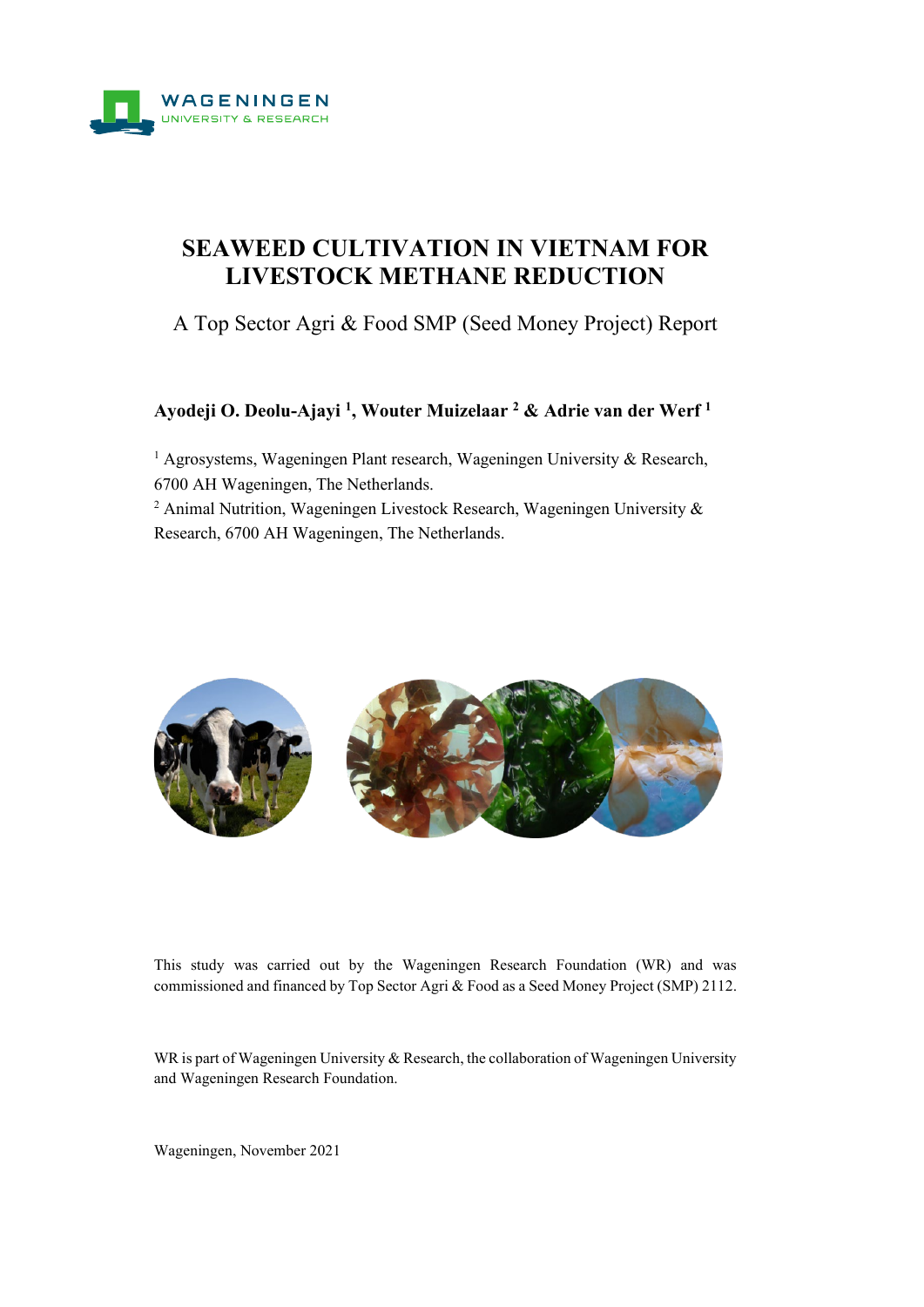

# **SEAWEED CULTIVATION IN VIETNAM FOR LIVESTOCK METHANE REDUCTION**

A Top Sector Agri & Food SMP (Seed Money Project) Report

## **Ayodeji O. Deolu-Ajayi 1, Wouter Muizelaar <sup>2</sup> & Adrie van der Werf <sup>1</sup>**

<sup>1</sup> Agrosystems, Wageningen Plant research, Wageningen University & Research, 6700 AH Wageningen, The Netherlands.

<sup>2</sup> Animal Nutrition, Wageningen Livestock Research, Wageningen University  $\&$ Research, 6700 AH Wageningen, The Netherlands.



This study was carried out by the Wageningen Research Foundation (WR) and was commissioned and financed by Top Sector Agri & Food as a Seed Money Project (SMP) 2112.

WR is part of Wageningen University & Research, the collaboration of Wageningen University and Wageningen Research Foundation.

Wageningen, November 2021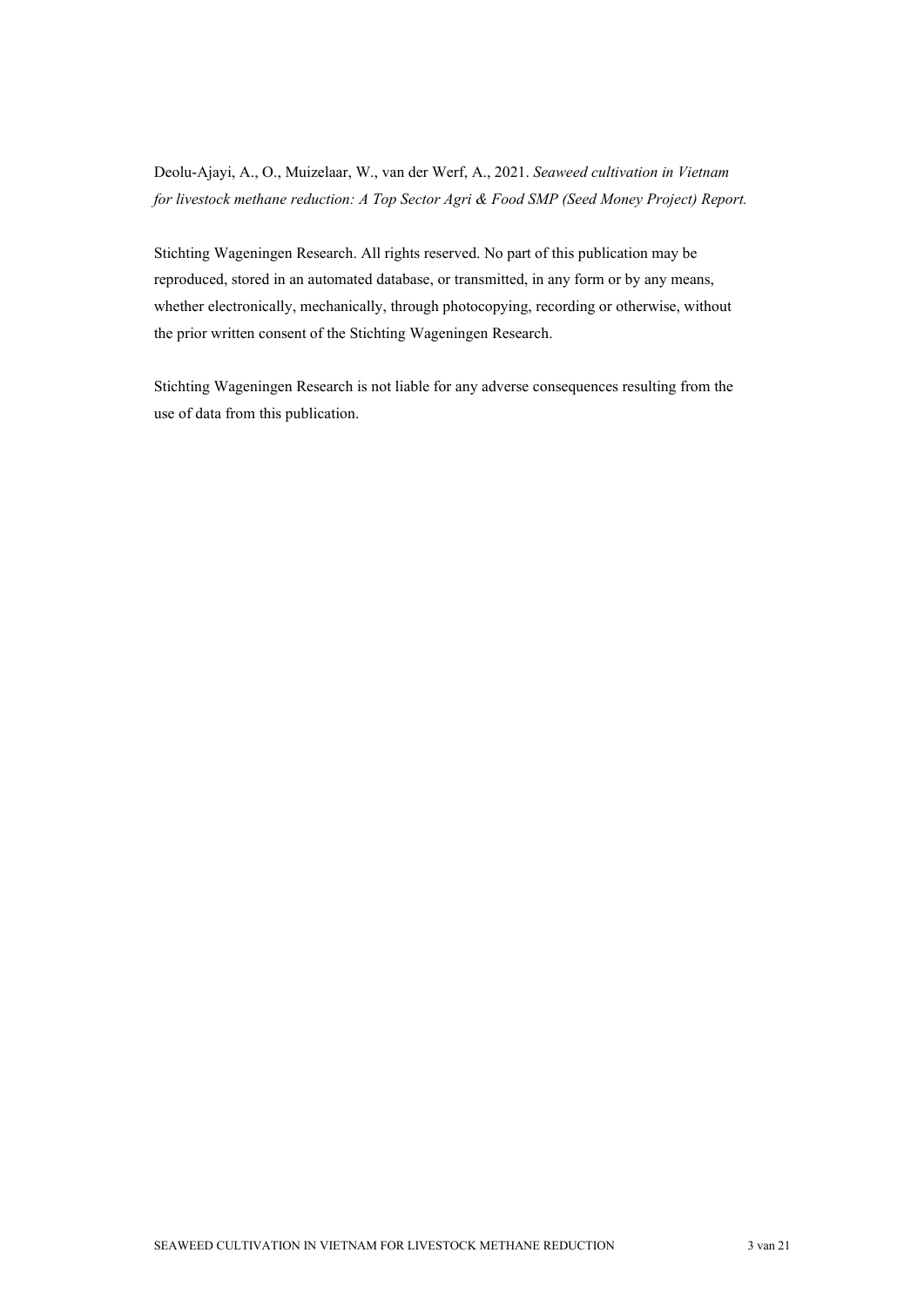Deolu-Ajayi, A., O., Muizelaar, W., van der Werf, A., 2021. *Seaweed cultivation in Vietnam for livestock methane reduction: A Top Sector Agri & Food SMP (Seed Money Project) Report.*

Stichting Wageningen Research. All rights reserved. No part of this publication may be reproduced, stored in an automated database, or transmitted, in any form or by any means, whether electronically, mechanically, through photocopying, recording or otherwise, without the prior written consent of the Stichting Wageningen Research.

Stichting Wageningen Research is not liable for any adverse consequences resulting from the use of data from this publication.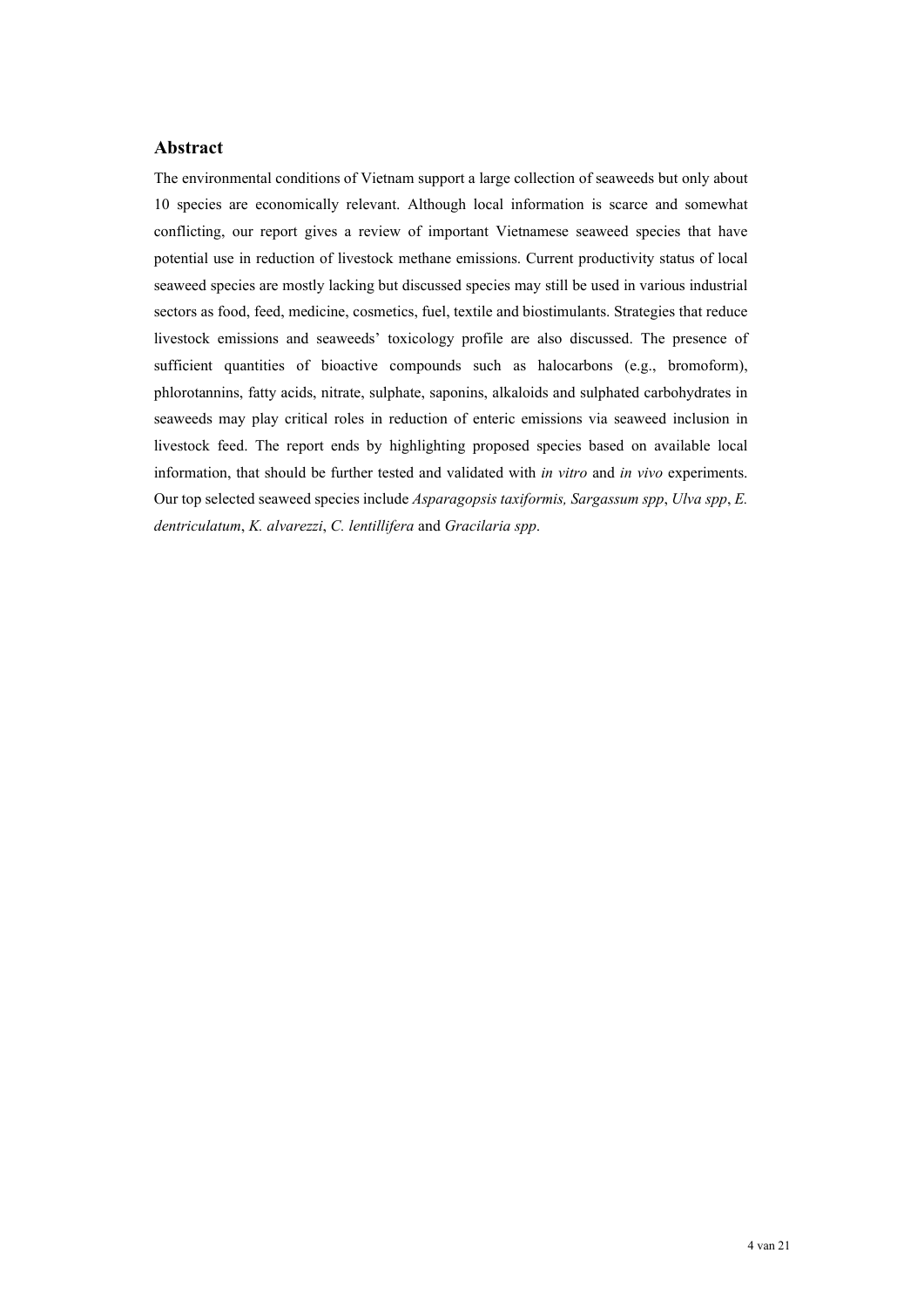## **Abstract**

The environmental conditions of Vietnam support a large collection of seaweeds but only about 10 species are economically relevant. Although local information is scarce and somewhat conflicting, our report gives a review of important Vietnamese seaweed species that have potential use in reduction of livestock methane emissions. Current productivity status of local seaweed species are mostly lacking but discussed species may still be used in various industrial sectors as food, feed, medicine, cosmetics, fuel, textile and biostimulants. Strategies that reduce livestock emissions and seaweeds' toxicology profile are also discussed. The presence of sufficient quantities of bioactive compounds such as halocarbons (e.g., bromoform), phlorotannins, fatty acids, nitrate, sulphate, saponins, alkaloids and sulphated carbohydrates in seaweeds may play critical roles in reduction of enteric emissions via seaweed inclusion in livestock feed. The report ends by highlighting proposed species based on available local information, that should be further tested and validated with *in vitro* and *in vivo* experiments. Our top selected seaweed species include *Asparagopsis taxiformis, Sargassum spp*, *Ulva spp*, *E. dentriculatum*, *K. alvarezzi*, *C. lentillifera* and *Gracilaria spp*.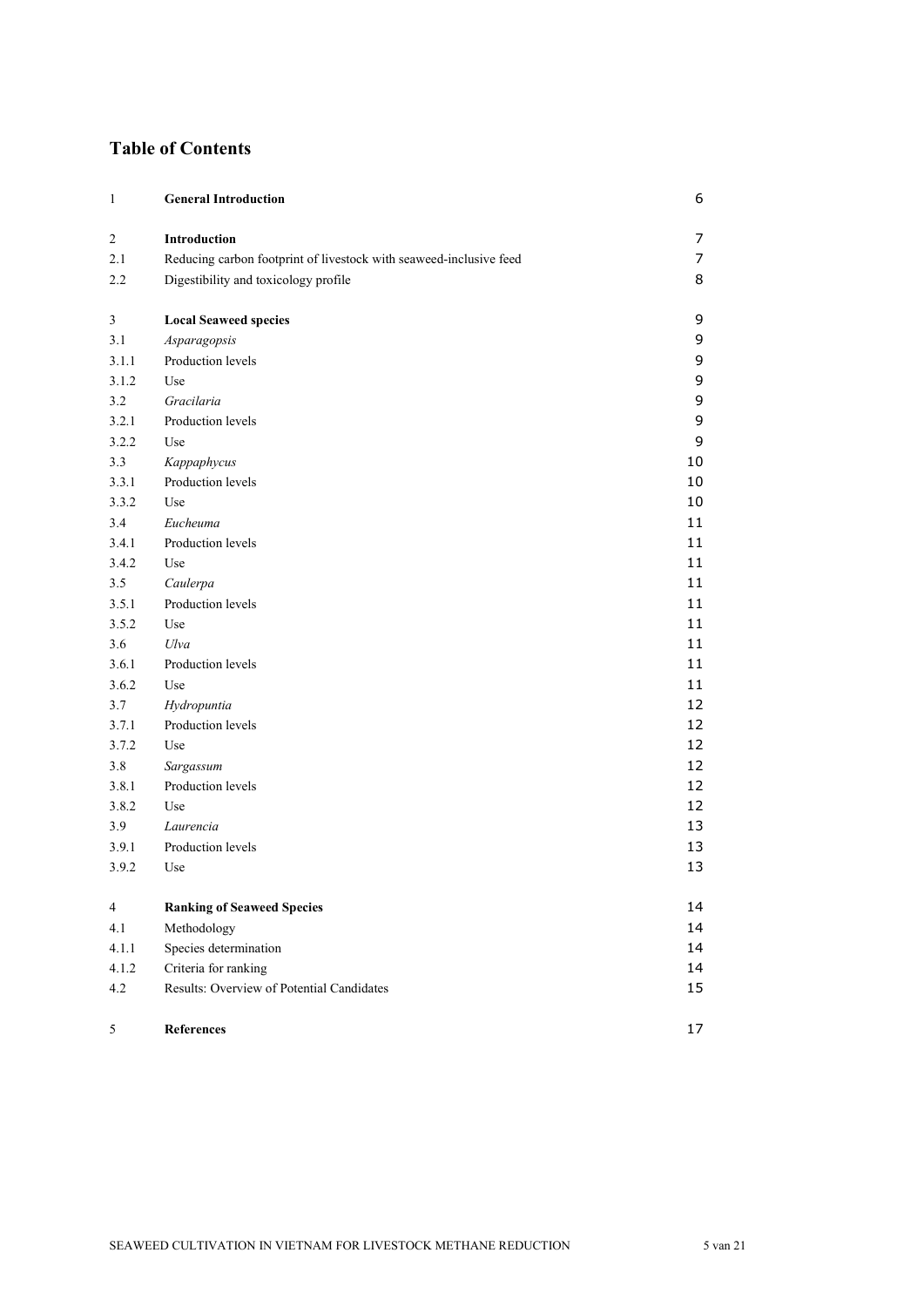# **Table of Contents**

| 1                | <b>General Introduction</b>                                        | 6  |
|------------------|--------------------------------------------------------------------|----|
| $\boldsymbol{2}$ | Introduction                                                       | 7  |
| 2.1              | Reducing carbon footprint of livestock with seaweed-inclusive feed | 7  |
| 2.2              | Digestibility and toxicology profile                               | 8  |
| 3                | <b>Local Seaweed species</b>                                       | 9  |
| 3.1              | Asparagopsis                                                       | 9  |
| 3.1.1            | Production levels                                                  | 9  |
| 3.1.2            | Use                                                                | 9  |
| 3.2              | Gracilaria                                                         | 9  |
| 3.2.1            | Production levels                                                  | 9  |
| 3.2.2            | Use                                                                | 9  |
| 3.3              | Kappaphycus                                                        | 10 |
| 3.3.1            | Production levels                                                  | 10 |
| 3.3.2            | Use                                                                | 10 |
| 3.4              | Eucheuma                                                           | 11 |
| 3.4.1            | Production levels                                                  | 11 |
| 3.4.2            | Use                                                                | 11 |
| 3.5              | Caulerpa                                                           | 11 |
| 3.5.1            | Production levels                                                  | 11 |
| 3.5.2            | Use                                                                | 11 |
| 3.6              | Ulva                                                               | 11 |
| 3.6.1            | Production levels                                                  | 11 |
| 3.6.2            | Use                                                                | 11 |
| 3.7              | Hydropuntia                                                        | 12 |
| 3.7.1            | Production levels                                                  | 12 |
| 3.7.2            | Use                                                                | 12 |
| 3.8              | Sargassum                                                          | 12 |
| 3.8.1            | Production levels                                                  | 12 |
| 3.8.2            | Use                                                                | 12 |
| 3.9              | Laurencia                                                          | 13 |
| 3.9.1            | Production levels                                                  | 13 |
| 3.9.2            | Use                                                                | 13 |
| $\overline{4}$   | <b>Ranking of Seaweed Species</b>                                  | 14 |
| 4.1              | Methodology                                                        | 14 |
| 4.1.1            | Species determination                                              | 14 |
| 4.1.2            | Criteria for ranking                                               | 14 |
| 4.2              | Results: Overview of Potential Candidates                          | 15 |
| 5                | References                                                         | 17 |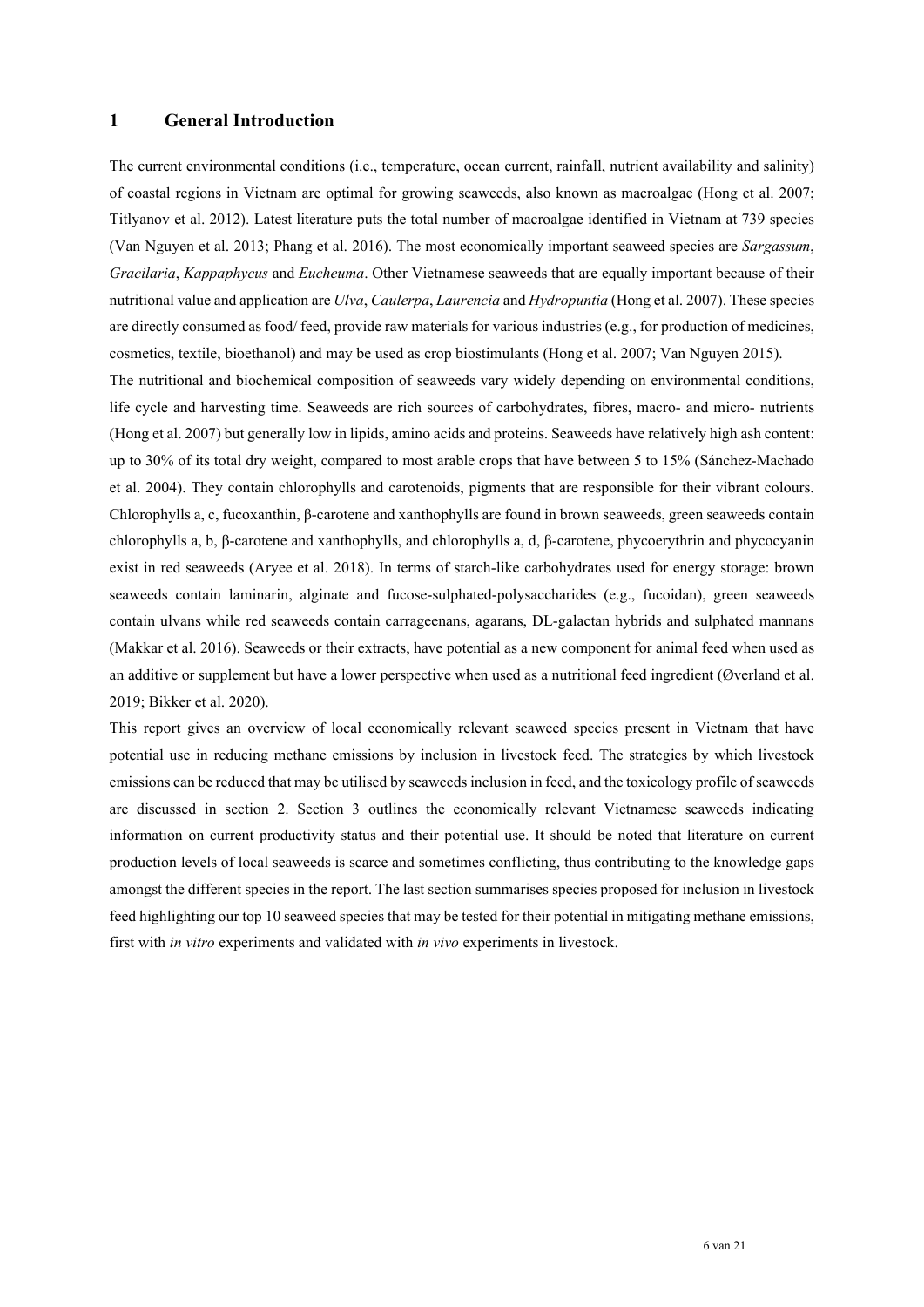## <span id="page-5-0"></span>**1 General Introduction**

The current environmental conditions (i.e., temperature, ocean current, rainfall, nutrient availability and salinity) of coastal regions in Vietnam are optimal for growing seaweeds, also known as macroalgae (Hong et al. 2007; Titlyanov et al. 2012). Latest literature puts the total number of macroalgae identified in Vietnam at 739 species (Van Nguyen et al. 2013; Phang et al. 2016). The most economically important seaweed species are *Sargassum*, *Gracilaria*, *Kappaphycus* and *Eucheuma*. Other Vietnamese seaweeds that are equally important because of their nutritional value and application are *Ulva*, *Caulerpa*, *Laurencia* and *Hydropuntia* (Hong et al. 2007). These species are directly consumed as food/ feed, provide raw materials for various industries (e.g., for production of medicines, cosmetics, textile, bioethanol) and may be used as crop biostimulants (Hong et al. 2007; Van Nguyen 2015).

The nutritional and biochemical composition of seaweeds vary widely depending on environmental conditions, life cycle and harvesting time. Seaweeds are rich sources of carbohydrates, fibres, macro- and micro- nutrients (Hong et al. 2007) but generally low in lipids, amino acids and proteins. Seaweeds have relatively high ash content: up to 30% of its total dry weight, compared to most arable crops that have between 5 to 15% (Sánchez-Machado et al. 2004). They contain chlorophylls and carotenoids, pigments that are responsible for their vibrant colours. Chlorophylls a, c, fucoxanthin, β-carotene and xanthophylls are found in brown seaweeds, green seaweeds contain chlorophylls a, b, β-carotene and xanthophylls, and chlorophylls a, d, β-carotene, phycoerythrin and phycocyanin exist in red seaweeds (Aryee et al. 2018). In terms of starch-like carbohydrates used for energy storage: brown seaweeds contain laminarin, alginate and fucose-sulphated-polysaccharides (e.g., fucoidan), green seaweeds contain ulvans while red seaweeds contain carrageenans, agarans, DL-galactan hybrids and sulphated mannans (Makkar et al. 2016). Seaweeds or their extracts, have potential as a new component for animal feed when used as an additive or supplement but have a lower perspective when used as a nutritional feed ingredient (Øverland et al. 2019; Bikker et al. 2020).

This report gives an overview of local economically relevant seaweed species present in Vietnam that have potential use in reducing methane emissions by inclusion in livestock feed. The strategies by which livestock emissions can be reduced that may be utilised by seaweeds inclusion in feed, and the toxicology profile of seaweeds are discussed in section 2. Section 3 outlines the economically relevant Vietnamese seaweeds indicating information on current productivity status and their potential use. It should be noted that literature on current production levels of local seaweeds is scarce and sometimes conflicting, thus contributing to the knowledge gaps amongst the different species in the report. The last section summarises species proposed for inclusion in livestock feed highlighting our top 10 seaweed species that may be tested for their potential in mitigating methane emissions, first with *in vitro* experiments and validated with *in vivo* experiments in livestock.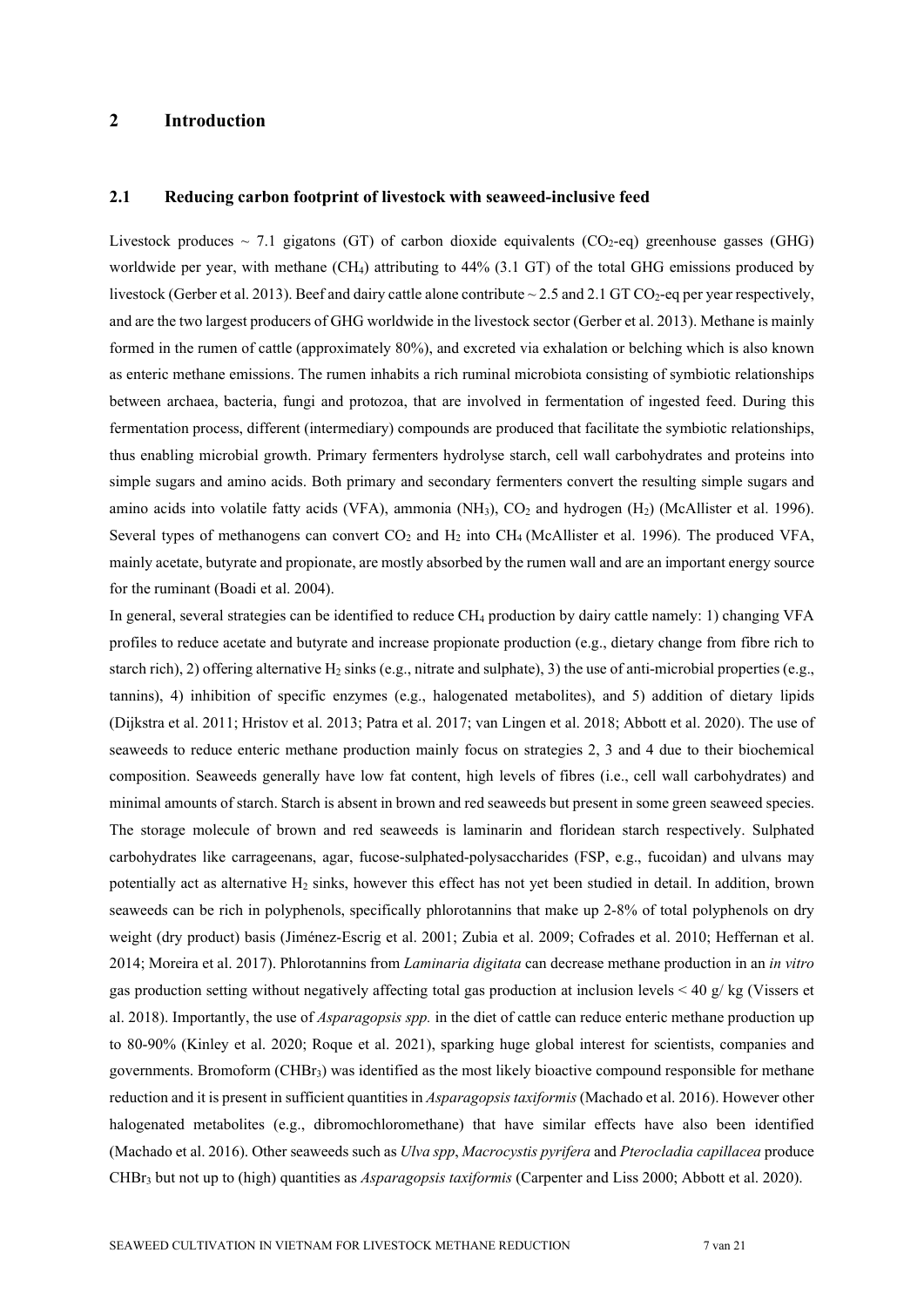## <span id="page-6-0"></span>**2 Introduction**

## <span id="page-6-1"></span>**2.1 Reducing carbon footprint of livestock with seaweed-inclusive feed**

Livestock produces  $\sim$  7.1 gigatons (GT) of carbon dioxide equivalents (CO<sub>2</sub>-eq) greenhouse gasses (GHG) worldwide per year, with methane (CH4) attributing to 44% (3.1 GT) of the total GHG emissions produced by livestock (Gerber et al. 2013). Beef and dairy cattle alone contribute  $\sim$  2.5 and 2.1 GT CO<sub>2</sub>-eq per year respectively, and are the two largest producers of GHG worldwide in the livestock sector (Gerber et al. 2013). Methane is mainly formed in the rumen of cattle (approximately 80%), and excreted via exhalation or belching which is also known as enteric methane emissions. The rumen inhabits a rich ruminal microbiota consisting of symbiotic relationships between archaea, bacteria, fungi and protozoa, that are involved in fermentation of ingested feed. During this fermentation process, different (intermediary) compounds are produced that facilitate the symbiotic relationships, thus enabling microbial growth. Primary fermenters hydrolyse starch, cell wall carbohydrates and proteins into simple sugars and amino acids. Both primary and secondary fermenters convert the resulting simple sugars and amino acids into volatile fatty acids (VFA), ammonia (NH<sub>3</sub>),  $CO<sub>2</sub>$  and hydrogen (H<sub>2</sub>) (McAllister et al. 1996). Several types of methanogens can convert  $CO<sub>2</sub>$  and  $H<sub>2</sub>$  into CH<sub>4</sub> (McAllister et al. 1996). The produced VFA, mainly acetate, butyrate and propionate, are mostly absorbed by the rumen wall and are an important energy source for the ruminant (Boadi et al. 2004).

In general, several strategies can be identified to reduce CH<sub>4</sub> production by dairy cattle namely: 1) changing VFA profiles to reduce acetate and butyrate and increase propionate production (e.g., dietary change from fibre rich to starch rich), 2) offering alternative H<sub>2</sub> sinks (e.g., nitrate and sulphate), 3) the use of anti-microbial properties (e.g., tannins), 4) inhibition of specific enzymes (e.g., halogenated metabolites), and 5) addition of dietary lipids (Dijkstra et al. 2011; Hristov et al. 2013; Patra et al. 2017; van Lingen et al. 2018; Abbott et al. 2020). The use of seaweeds to reduce enteric methane production mainly focus on strategies 2, 3 and 4 due to their biochemical composition. Seaweeds generally have low fat content, high levels of fibres (i.e., cell wall carbohydrates) and minimal amounts of starch. Starch is absent in brown and red seaweeds but present in some green seaweed species. The storage molecule of brown and red seaweeds is laminarin and floridean starch respectively. Sulphated carbohydrates like carrageenans, agar, fucose-sulphated-polysaccharides (FSP, e.g., fucoidan) and ulvans may potentially act as alternative  $H_2$  sinks, however this effect has not yet been studied in detail. In addition, brown seaweeds can be rich in polyphenols, specifically phlorotannins that make up 2-8% of total polyphenols on dry weight (dry product) basis (Jiménez-Escrig et al. 2001; Zubia et al. 2009; Cofrades et al. 2010; Heffernan et al. 2014; Moreira et al. 2017). Phlorotannins from *Laminaria digitata* can decrease methane production in an *in vitro* gas production setting without negatively affecting total gas production at inclusion levels < 40 g/ kg (Vissers et al. 2018). Importantly, the use of *Asparagopsis spp.* in the diet of cattle can reduce enteric methane production up to 80-90% (Kinley et al. 2020; Roque et al. 2021), sparking huge global interest for scientists, companies and governments. Bromoform (CHBr3) was identified as the most likely bioactive compound responsible for methane reduction and it is present in sufficient quantities in *Asparagopsis taxiformis* (Machado et al. 2016). However other halogenated metabolites (e.g., dibromochloromethane) that have similar effects have also been identified (Machado et al. 2016). Other seaweeds such as *Ulva spp*, *Macrocystis pyrifera* and *Pterocladia capillacea* produce CHBr3 but not up to (high) quantities as *Asparagopsis taxiformis* (Carpenter and Liss 2000; Abbott et al. 2020).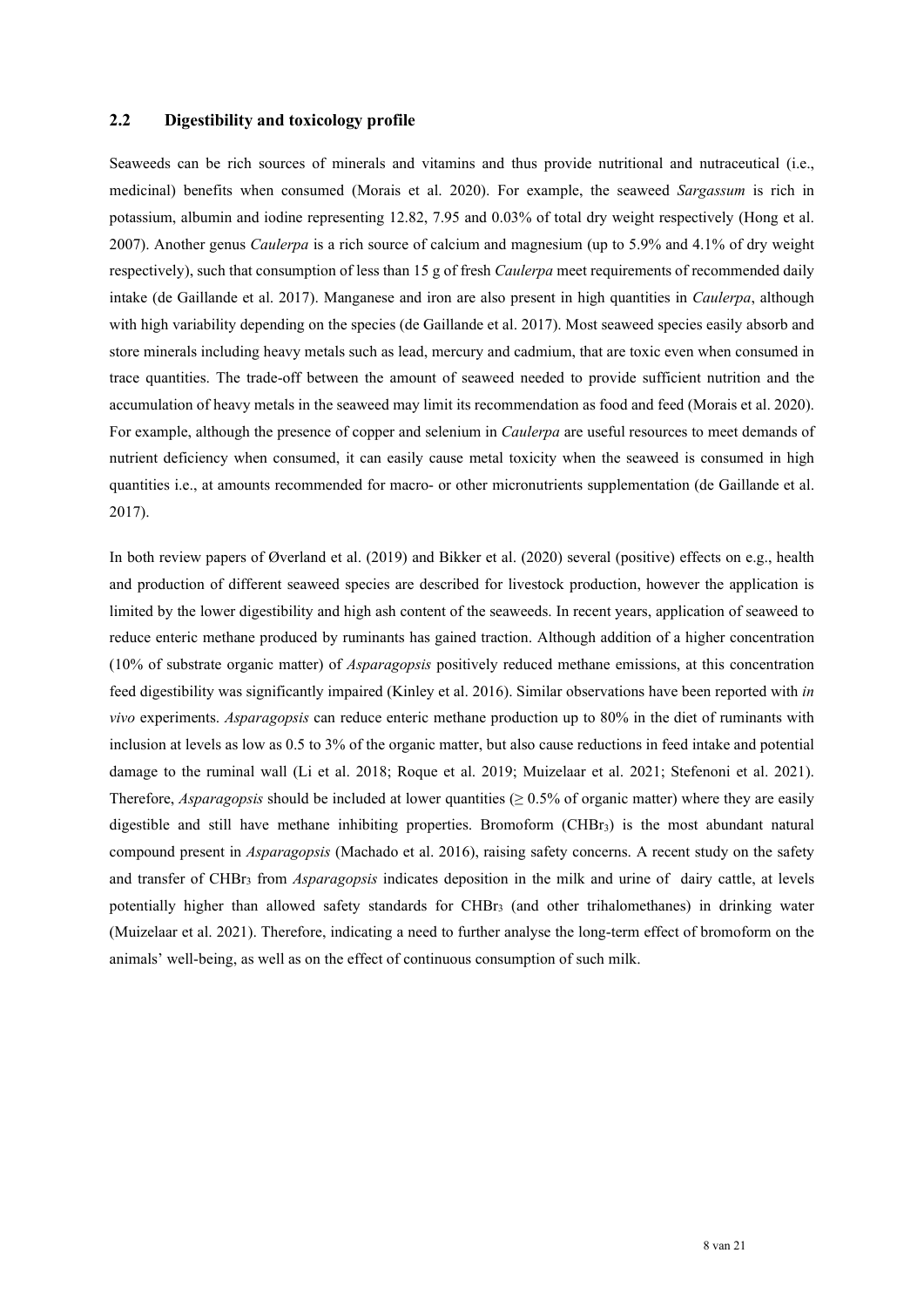## <span id="page-7-0"></span>**2.2 Digestibility and toxicology profile**

Seaweeds can be rich sources of minerals and vitamins and thus provide nutritional and nutraceutical (i.e., medicinal) benefits when consumed (Morais et al. 2020). For example, the seaweed *Sargassum* is rich in potassium, albumin and iodine representing 12.82, 7.95 and 0.03% of total dry weight respectively (Hong et al. 2007). Another genus *Caulerpa* is a rich source of calcium and magnesium (up to 5.9% and 4.1% of dry weight respectively), such that consumption of less than 15 g of fresh *Caulerpa* meet requirements of recommended daily intake (de Gaillande et al. 2017). Manganese and iron are also present in high quantities in *Caulerpa*, although with high variability depending on the species (de Gaillande et al. 2017). Most seaweed species easily absorb and store minerals including heavy metals such as lead, mercury and cadmium, that are toxic even when consumed in trace quantities. The trade-off between the amount of seaweed needed to provide sufficient nutrition and the accumulation of heavy metals in the seaweed may limit its recommendation as food and feed (Morais et al. 2020). For example, although the presence of copper and selenium in *Caulerpa* are useful resources to meet demands of nutrient deficiency when consumed, it can easily cause metal toxicity when the seaweed is consumed in high quantities i.e., at amounts recommended for macro- or other micronutrients supplementation (de Gaillande et al. 2017).

In both review papers of Øverland et al. (2019) and Bikker et al. (2020) several (positive) effects on e.g., health and production of different seaweed species are described for livestock production, however the application is limited by the lower digestibility and high ash content of the seaweeds. In recent years, application of seaweed to reduce enteric methane produced by ruminants has gained traction. Although addition of a higher concentration (10% of substrate organic matter) of *Asparagopsis* positively reduced methane emissions, at this concentration feed digestibility was significantly impaired (Kinley et al. 2016). Similar observations have been reported with *in vivo* experiments. *Asparagopsis* can reduce enteric methane production up to 80% in the diet of ruminants with inclusion at levels as low as 0.5 to 3% of the organic matter, but also cause reductions in feed intake and potential damage to the ruminal wall (Li et al. 2018; Roque et al. 2019; Muizelaar et al. 2021; Stefenoni et al. 2021). Therefore, *Asparagopsis* should be included at lower quantities ( $\geq 0.5\%$  of organic matter) where they are easily digestible and still have methane inhibiting properties. Bromoform (CHBr3) is the most abundant natural compound present in *Asparagopsis* (Machado et al. 2016), raising safety concerns. A recent study on the safety and transfer of CHBr3 from *Asparagopsis* indicates deposition in the milk and urine of dairy cattle, at levels potentially higher than allowed safety standards for CHBr3 (and other trihalomethanes) in drinking water (Muizelaar et al. 2021). Therefore, indicating a need to further analyse the long-term effect of bromoform on the animals' well-being, as well as on the effect of continuous consumption of such milk.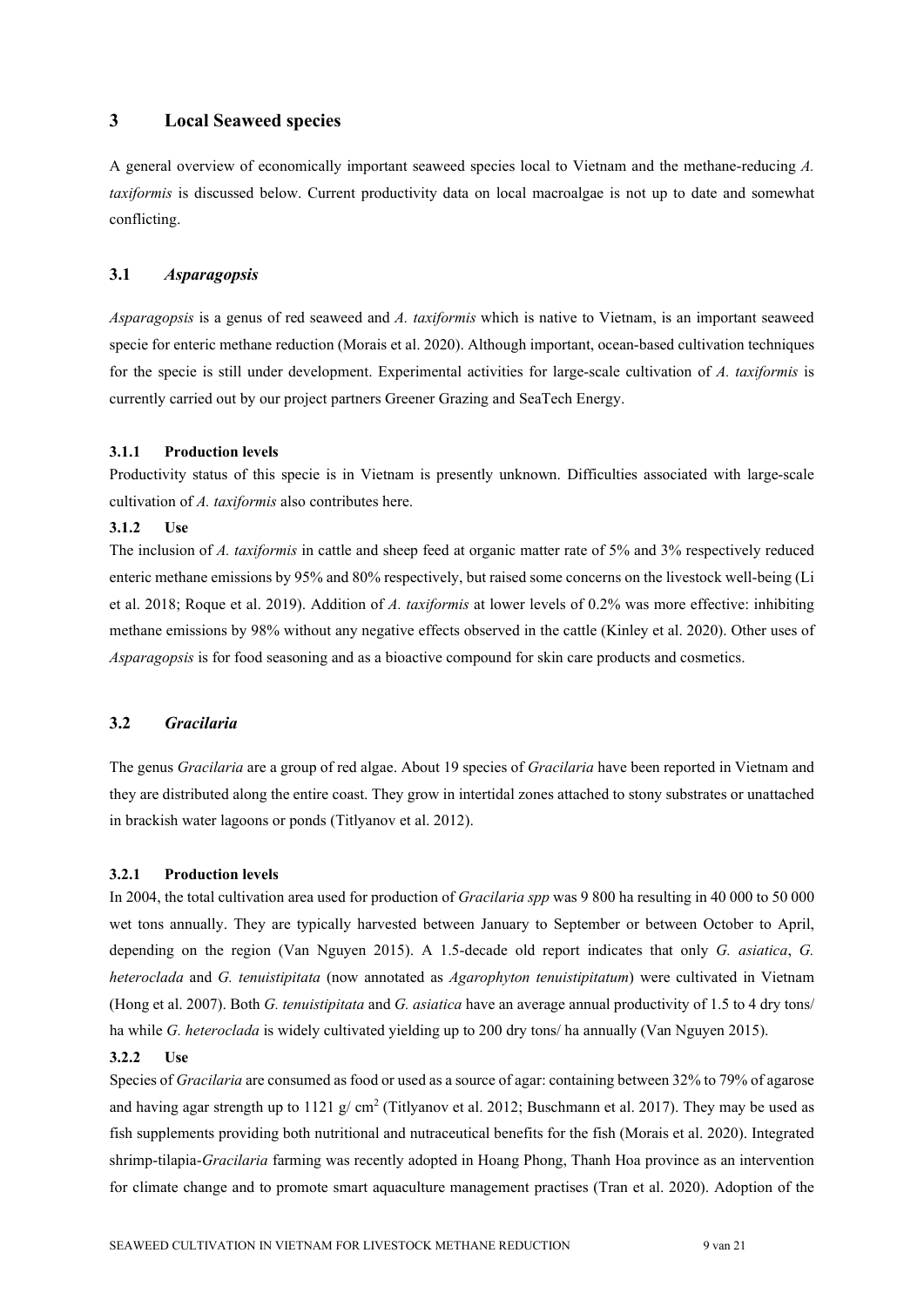## <span id="page-8-0"></span>**3 Local Seaweed species**

A general overview of economically important seaweed species local to Vietnam and the methane-reducing *A. taxiformis* is discussed below. Current productivity data on local macroalgae is not up to date and somewhat conflicting.

## <span id="page-8-1"></span>**3.1** *Asparagopsis*

*Asparagopsis* is a genus of red seaweed and *A. taxiformis* which is native to Vietnam, is an important seaweed specie for enteric methane reduction (Morais et al. 2020). Although important, ocean-based cultivation techniques for the specie is still under development. Experimental activities for large-scale cultivation of *A. taxiformis* is currently carried out by our project partners Greener Grazing and SeaTech Energy.

#### <span id="page-8-2"></span>**3.1.1 Production levels**

Productivity status of this specie is in Vietnam is presently unknown. Difficulties associated with large-scale cultivation of *A. taxiformis* also contributes here.

#### <span id="page-8-3"></span>**3.1.2 Use**

The inclusion of *A. taxiformis* in cattle and sheep feed at organic matter rate of 5% and 3% respectively reduced enteric methane emissions by 95% and 80% respectively, but raised some concerns on the livestock well-being (Li et al. 2018; Roque et al. 2019). Addition of *A. taxiformis* at lower levels of 0.2% was more effective: inhibiting methane emissions by 98% without any negative effects observed in the cattle (Kinley et al. 2020). Other uses of *Asparagopsis* is for food seasoning and as a bioactive compound for skin care products and cosmetics.

#### <span id="page-8-4"></span>**3.2** *Gracilaria*

The genus *Gracilaria* are a group of red algae. About 19 species of *Gracilaria* have been reported in Vietnam and they are distributed along the entire coast. They grow in intertidal zones attached to stony substrates or unattached in brackish water lagoons or ponds (Titlyanov et al. 2012).

#### <span id="page-8-5"></span>**3.2.1 Production levels**

In 2004, the total cultivation area used for production of *Gracilaria spp* was 9 800 ha resulting in 40 000 to 50 000 wet tons annually. They are typically harvested between January to September or between October to April, depending on the region (Van Nguyen 2015). A 1.5-decade old report indicates that only *G. asiatica*, *G. heteroclada* and *G. tenuistipitata* (now annotated as *Agarophyton tenuistipitatum*) were cultivated in Vietnam (Hong et al. 2007). Both *G. tenuistipitata* and *G. asiatica* have an average annual productivity of 1.5 to 4 dry tons/ ha while *G. heteroclada* is widely cultivated yielding up to 200 dry tons/ ha annually (Van Nguyen 2015).

#### <span id="page-8-6"></span>**3.2.2 Use**

Species of *Gracilaria* are consumed as food or used as a source of agar: containing between 32% to 79% of agarose and having agar strength up to 1121 g/ cm<sup>2</sup> (Titlyanov et al. 2012; Buschmann et al. 2017). They may be used as fish supplements providing both nutritional and nutraceutical benefits for the fish (Morais et al. 2020). Integrated shrimp-tilapia-*Gracilaria* farming was recently adopted in Hoang Phong, Thanh Hoa province as an intervention for climate change and to promote smart aquaculture management practises (Tran et al. 2020). Adoption of the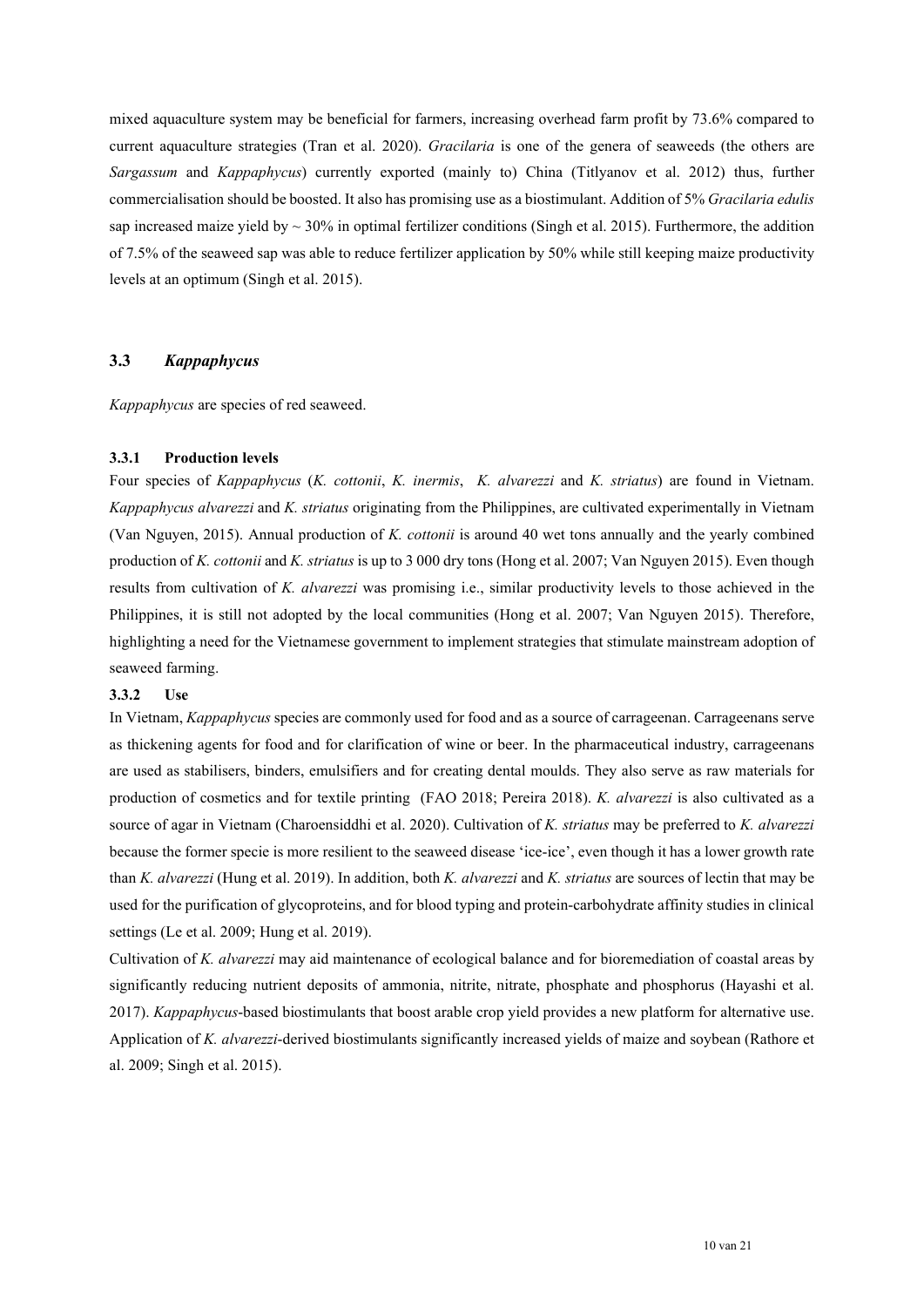mixed aquaculture system may be beneficial for farmers, increasing overhead farm profit by 73.6% compared to current aquaculture strategies (Tran et al. 2020). *Gracilaria* is one of the genera of seaweeds (the others are *Sargassum* and *Kappaphycus*) currently exported (mainly to) China (Titlyanov et al. 2012) thus, further commercialisation should be boosted. It also has promising use as a biostimulant. Addition of 5% *Gracilaria edulis* sap increased maize yield by  $\sim 30\%$  in optimal fertilizer conditions (Singh et al. 2015). Furthermore, the addition of 7.5% of the seaweed sap was able to reduce fertilizer application by 50% while still keeping maize productivity levels at an optimum (Singh et al. 2015).

## <span id="page-9-0"></span>**3.3** *Kappaphycus*

*Kappaphycus* are species of red seaweed.

#### <span id="page-9-1"></span>**3.3.1 Production levels**

Four species of *Kappaphycus* (*K. cottonii*, *K. inermis*, *K. alvarezzi* and *K. striatus*) are found in Vietnam. *Kappaphycus alvarezzi* and *K. striatus* originating from the Philippines, are cultivated experimentally in Vietnam (Van Nguyen, 2015). Annual production of *K. cottonii* is around 40 wet tons annually and the yearly combined production of *K. cottonii* and *K. striatus* is up to 3 000 dry tons (Hong et al. 2007; Van Nguyen 2015). Even though results from cultivation of *K. alvarezzi* was promising i.e., similar productivity levels to those achieved in the Philippines, it is still not adopted by the local communities (Hong et al. 2007; Van Nguyen 2015). Therefore, highlighting a need for the Vietnamese government to implement strategies that stimulate mainstream adoption of seaweed farming.

#### <span id="page-9-2"></span>**3.3.2 Use**

In Vietnam, *Kappaphycus* species are commonly used for food and as a source of carrageenan. Carrageenans serve as thickening agents for food and for clarification of wine or beer. In the pharmaceutical industry, carrageenans are used as stabilisers, binders, emulsifiers and for creating dental moulds. They also serve as raw materials for production of cosmetics and for textile printing (FAO 2018; Pereira 2018). *K. alvarezzi* is also cultivated as a source of agar in Vietnam (Charoensiddhi et al. 2020). Cultivation of *K. striatus* may be preferred to *K. alvarezzi* because the former specie is more resilient to the seaweed disease 'ice-ice', even though it has a lower growth rate than *K. alvarezzi* (Hung et al. 2019). In addition, both *K. alvarezzi* and *K. striatus* are sources of lectin that may be used for the purification of glycoproteins, and for blood typing and protein-carbohydrate affinity studies in clinical settings (Le et al. 2009; Hung et al. 2019).

Cultivation of *K. alvarezzi* may aid maintenance of ecological balance and for bioremediation of coastal areas by significantly reducing nutrient deposits of ammonia, nitrite, nitrate, phosphate and phosphorus (Hayashi et al. 2017). *Kappaphycus*-based biostimulants that boost arable crop yield provides a new platform for alternative use. Application of *K. alvarezzi*-derived biostimulants significantly increased yields of maize and soybean (Rathore et al. 2009; Singh et al. 2015).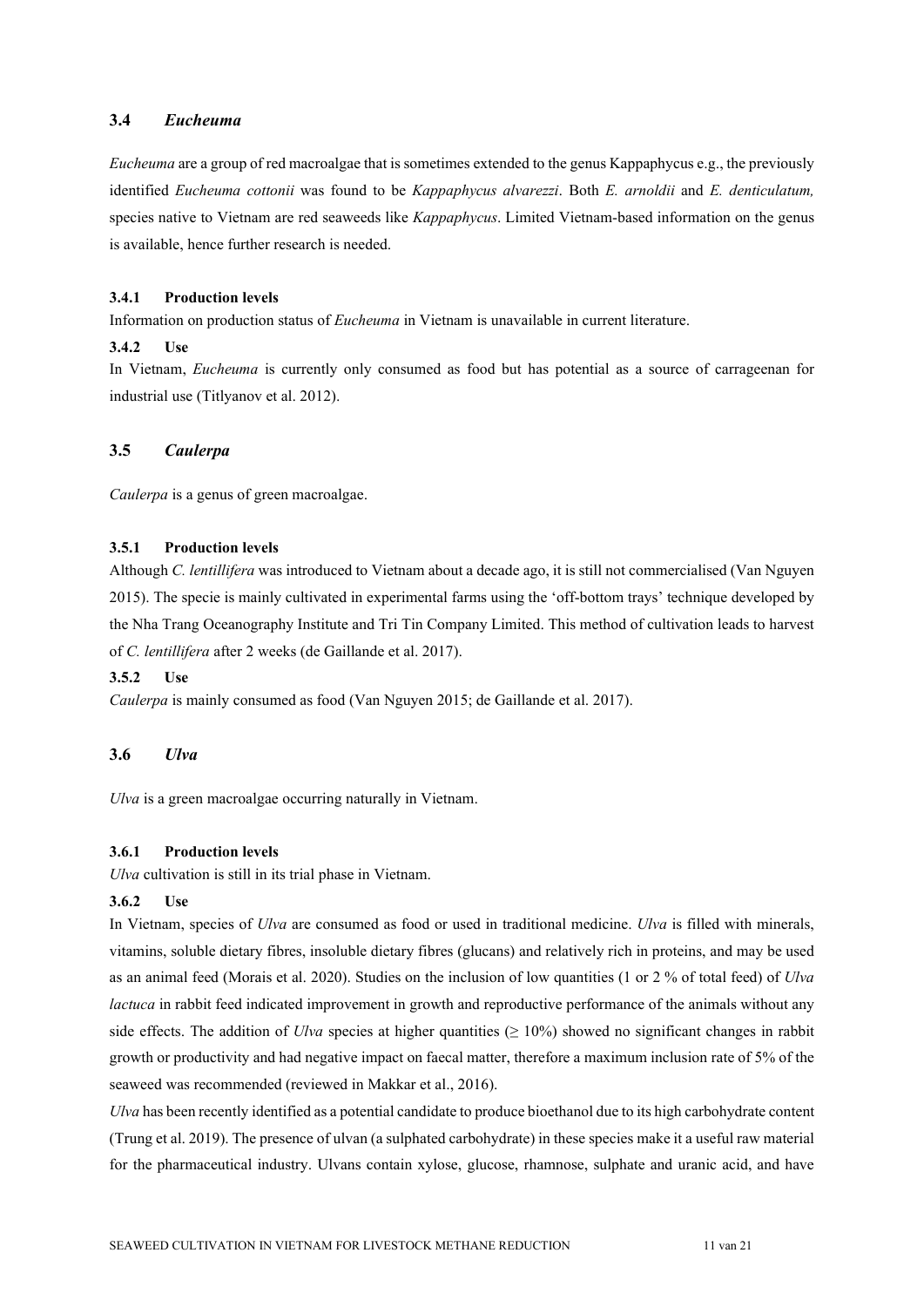## <span id="page-10-0"></span>**3.4** *Eucheuma*

*Eucheuma* are a group of red macroalgae that is sometimes extended to the genus Kappaphycus e.g., the previously identified *Eucheuma cottonii* was found to be *Kappaphycus alvarezzi*. Both *E. arnoldii* and *E. denticulatum,*  species native to Vietnam are red seaweeds like *Kappaphycus*. Limited Vietnam-based information on the genus is available, hence further research is needed.

## <span id="page-10-1"></span>**3.4.1 Production levels**

Information on production status of *Eucheuma* in Vietnam is unavailable in current literature.

#### <span id="page-10-2"></span>**3.4.2 Use**

In Vietnam, *Eucheuma* is currently only consumed as food but has potential as a source of carrageenan for industrial use (Titlyanov et al. 2012).

## <span id="page-10-3"></span>**3.5** *Caulerpa*

*Caulerpa* is a genus of green macroalgae.

#### <span id="page-10-4"></span>**3.5.1 Production levels**

Although *C. lentillifera* was introduced to Vietnam about a decade ago, it is still not commercialised (Van Nguyen 2015). The specie is mainly cultivated in experimental farms using the 'off-bottom trays' technique developed by the Nha Trang Oceanography Institute and Tri Tin Company Limited. This method of cultivation leads to harvest of *C. lentillifera* after 2 weeks (de Gaillande et al. 2017).

#### <span id="page-10-5"></span>**3.5.2 Use**

*Caulerpa* is mainly consumed as food (Van Nguyen 2015; de Gaillande et al. 2017).

## <span id="page-10-6"></span>**3.6** *Ulva*

*Ulva* is a green macroalgae occurring naturally in Vietnam.

#### <span id="page-10-7"></span>**3.6.1 Production levels**

*Ulva* cultivation is still in its trial phase in Vietnam.

#### <span id="page-10-8"></span>**3.6.2 Use**

In Vietnam, species of *Ulva* are consumed as food or used in traditional medicine. *Ulva* is filled with minerals, vitamins, soluble dietary fibres, insoluble dietary fibres (glucans) and relatively rich in proteins, and may be used as an animal feed (Morais et al. 2020). Studies on the inclusion of low quantities (1 or 2 % of total feed) of *Ulva lactuca* in rabbit feed indicated improvement in growth and reproductive performance of the animals without any side effects. The addition of *Ulva* species at higher quantities ( $\geq 10\%$ ) showed no significant changes in rabbit growth or productivity and had negative impact on faecal matter, therefore a maximum inclusion rate of 5% of the seaweed was recommended (reviewed in Makkar et al., 2016).

*Ulva* has been recently identified as a potential candidate to produce bioethanol due to its high carbohydrate content (Trung et al. 2019). The presence of ulvan (a sulphated carbohydrate) in these species make it a useful raw material for the pharmaceutical industry. Ulvans contain xylose, glucose, rhamnose, sulphate and uranic acid, and have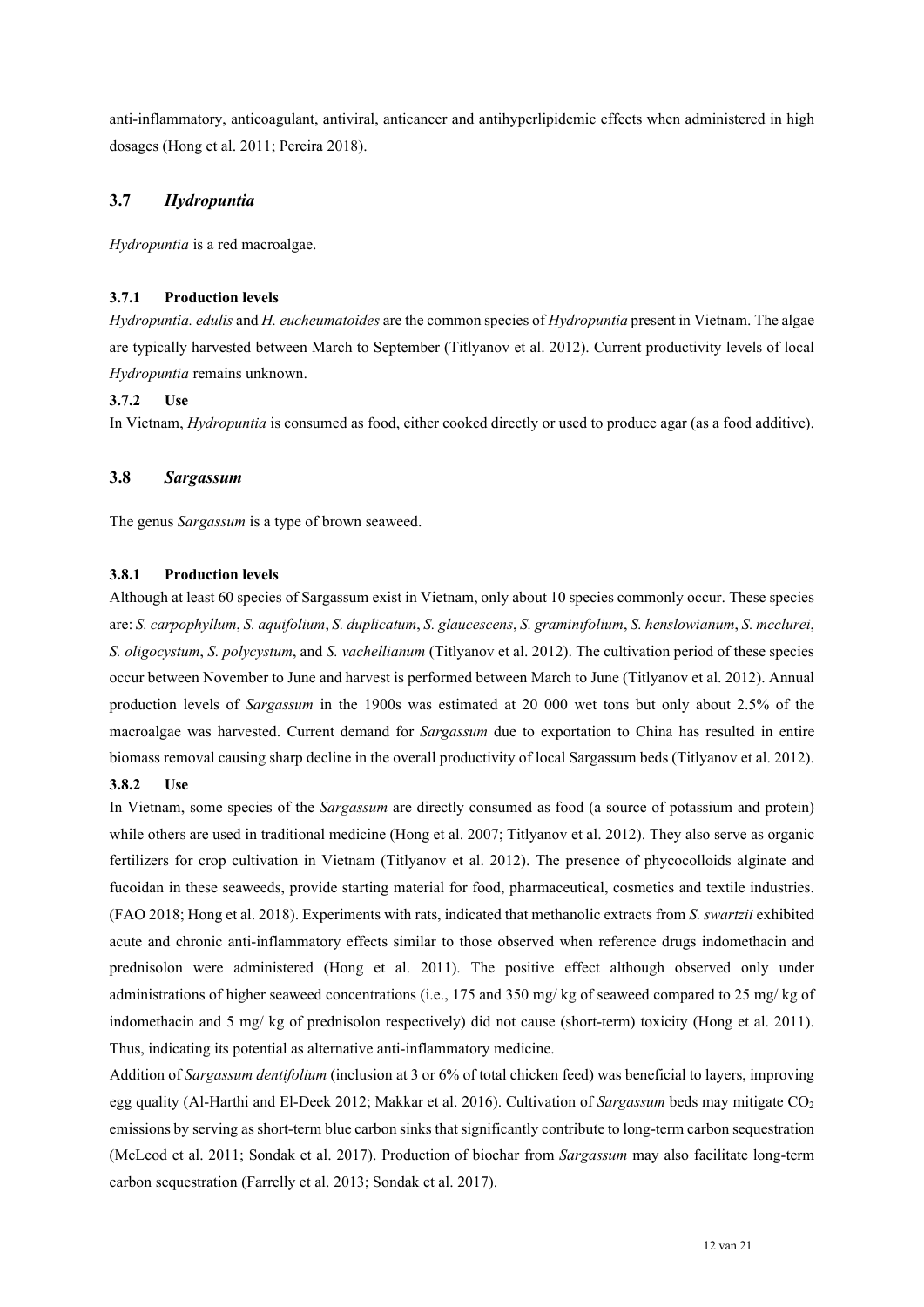anti-inflammatory, anticoagulant, antiviral, anticancer and antihyperlipidemic effects when administered in high dosages (Hong et al. 2011; Pereira 2018).

## <span id="page-11-0"></span>**3.7** *Hydropuntia*

*Hydropuntia* is a red macroalgae.

## <span id="page-11-1"></span>**3.7.1 Production levels**

*Hydropuntia. edulis* and *H. eucheumatoides* are the common species of *Hydropuntia* present in Vietnam. The algae are typically harvested between March to September (Titlyanov et al. 2012). Current productivity levels of local *Hydropuntia* remains unknown.

## <span id="page-11-2"></span>**3.7.2 Use**

In Vietnam, *Hydropuntia* is consumed as food, either cooked directly or used to produce agar (as a food additive).

## <span id="page-11-3"></span>**3.8** *Sargassum*

The genus *Sargassum* is a type of brown seaweed.

## <span id="page-11-4"></span>**3.8.1 Production levels**

Although at least 60 species of Sargassum exist in Vietnam, only about 10 species commonly occur. These species are: *S. carpophyllum*, *S. aquifolium*, *S. duplicatum*, *S. glaucescens*, *S. graminifolium*, *S. henslowianum*, *S. mcclurei*, *S. oligocystum*, *S. polycystum*, and *S. vachellianum* (Titlyanov et al. 2012). The cultivation period of these species occur between November to June and harvest is performed between March to June (Titlyanov et al. 2012). Annual production levels of *Sargassum* in the 1900s was estimated at 20 000 wet tons but only about 2.5% of the macroalgae was harvested. Current demand for *Sargassum* due to exportation to China has resulted in entire biomass removal causing sharp decline in the overall productivity of local Sargassum beds (Titlyanov et al. 2012). **3.8.2 Use**

<span id="page-11-5"></span>In Vietnam, some species of the *Sargassum* are directly consumed as food (a source of potassium and protein) while others are used in traditional medicine (Hong et al. 2007; Titlyanov et al. 2012). They also serve as organic fertilizers for crop cultivation in Vietnam (Titlyanov et al. 2012). The presence of phycocolloids alginate and fucoidan in these seaweeds, provide starting material for food, pharmaceutical, cosmetics and textile industries. (FAO 2018; Hong et al. 2018). Experiments with rats, indicated that methanolic extracts from *S. swartzii* exhibited acute and chronic anti-inflammatory effects similar to those observed when reference drugs indomethacin and prednisolon were administered (Hong et al. 2011). The positive effect although observed only under administrations of higher seaweed concentrations (i.e., 175 and 350 mg/ kg of seaweed compared to 25 mg/ kg of indomethacin and 5 mg/ kg of prednisolon respectively) did not cause (short-term) toxicity (Hong et al. 2011). Thus, indicating its potential as alternative anti-inflammatory medicine.

Addition of *Sargassum dentifolium* (inclusion at 3 or 6% of total chicken feed) was beneficial to layers, improving egg quality (Al-Harthi and El-Deek 2012; Makkar et al. 2016). Cultivation of *Sargassum* beds may mitigate CO<sub>2</sub> emissions by serving as short-term blue carbon sinks that significantly contribute to long-term carbon sequestration (McLeod et al. 2011; Sondak et al. 2017). Production of biochar from *Sargassum* may also facilitate long-term carbon sequestration (Farrelly et al. 2013; Sondak et al. 2017).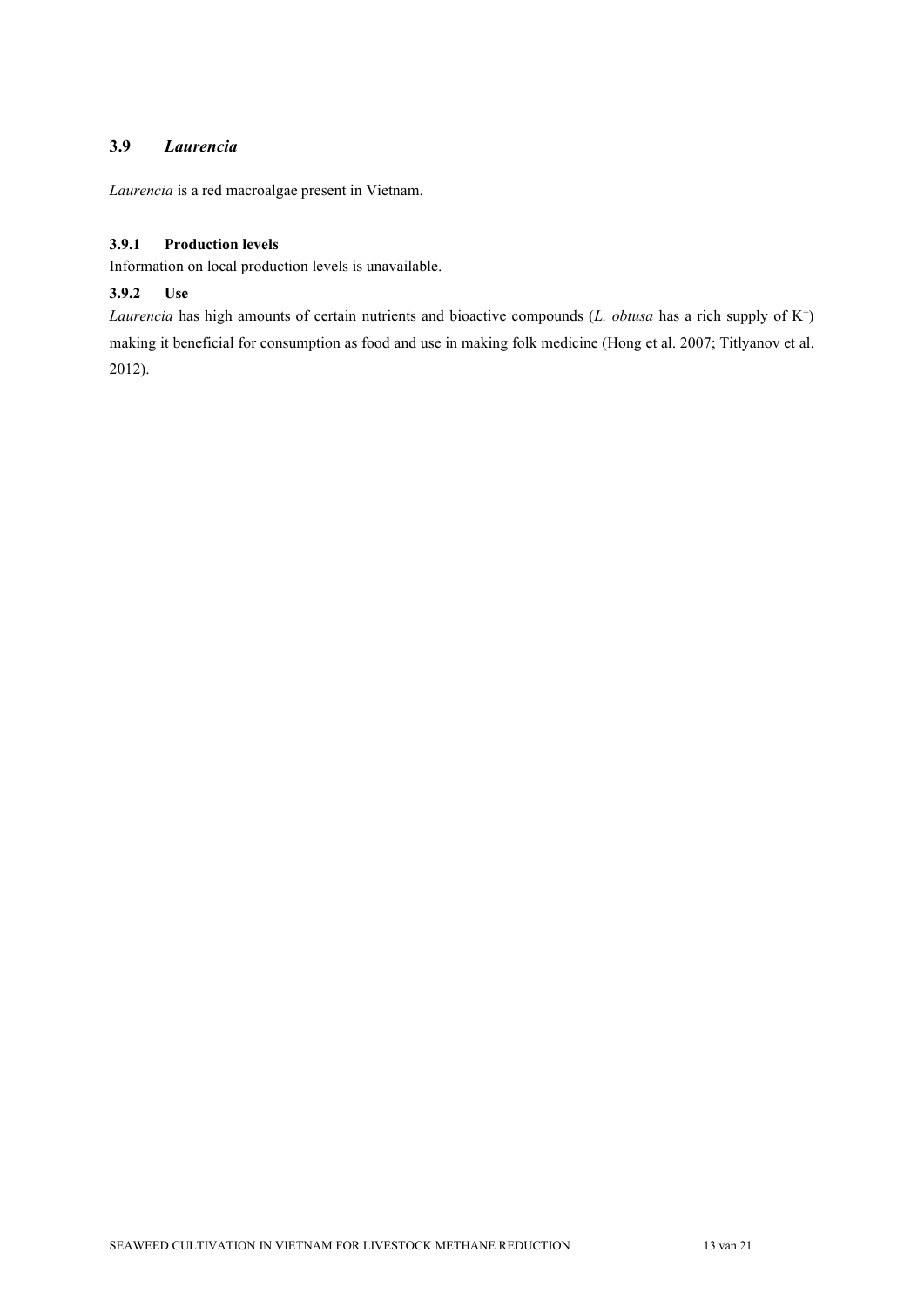## <span id="page-12-0"></span>**3.9** *Laurencia*

*Laurencia* is a red macroalgae present in Vietnam.

## <span id="page-12-1"></span>**3.9.1 Production levels**

Information on local production levels is unavailable.

## <span id="page-12-2"></span>**3.9.2 Use**

*Laurencia* has high amounts of certain nutrients and bioactive compounds (*L. obtusa* has a rich supply of K<sup>+</sup>) making it beneficial for consumption as food and use in making folk medicine (Hong et al. 2007; Titlyanov et al. 2012).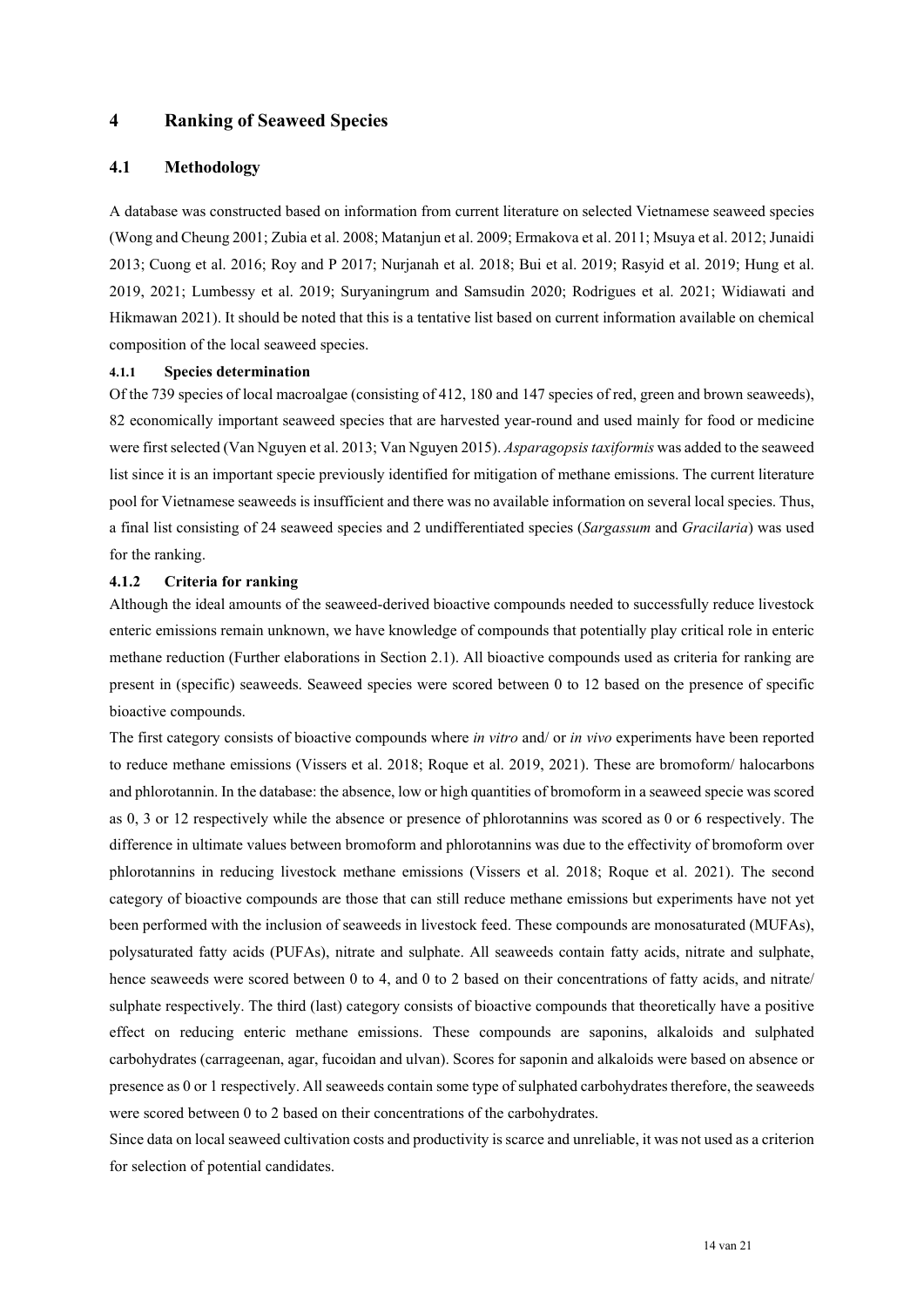## <span id="page-13-0"></span>**4 Ranking of Seaweed Species**

## <span id="page-13-1"></span>**4.1 Methodology**

A database was constructed based on information from current literature on selected Vietnamese seaweed species (Wong and Cheung 2001; Zubia et al. 2008; Matanjun et al. 2009; Ermakova et al. 2011; Msuya et al. 2012; Junaidi 2013; Cuong et al. 2016; Roy and P 2017; Nurjanah et al. 2018; Bui et al. 2019; Rasyid et al. 2019; Hung et al. 2019, 2021; Lumbessy et al. 2019; Suryaningrum and Samsudin 2020; Rodrigues et al. 2021; Widiawati and Hikmawan 2021). It should be noted that this is a tentative list based on current information available on chemical composition of the local seaweed species.

#### <span id="page-13-2"></span>**4.1.1 Species determination**

Of the 739 species of local macroalgae (consisting of 412, 180 and 147 species of red, green and brown seaweeds), 82 economically important seaweed species that are harvested year-round and used mainly for food or medicine were first selected (Van Nguyen et al. 2013; Van Nguyen 2015). *Asparagopsis taxiformis* was added to the seaweed list since it is an important specie previously identified for mitigation of methane emissions. The current literature pool for Vietnamese seaweeds is insufficient and there was no available information on several local species. Thus, a final list consisting of 24 seaweed species and 2 undifferentiated species (*Sargassum* and *Gracilaria*) was used for the ranking.

#### <span id="page-13-3"></span>**4.1.2 Criteria for ranking**

Although the ideal amounts of the seaweed-derived bioactive compounds needed to successfully reduce livestock enteric emissions remain unknown, we have knowledge of compounds that potentially play critical role in enteric methane reduction (Further elaborations in Section 2.1). All bioactive compounds used as criteria for ranking are present in (specific) seaweeds. Seaweed species were scored between 0 to 12 based on the presence of specific bioactive compounds.

The first category consists of bioactive compounds where *in vitro* and/ or *in vivo* experiments have been reported to reduce methane emissions (Vissers et al. 2018; Roque et al. 2019, 2021). These are bromoform/ halocarbons and phlorotannin. In the database: the absence, low or high quantities of bromoform in a seaweed specie was scored as 0, 3 or 12 respectively while the absence or presence of phlorotannins was scored as 0 or 6 respectively. The difference in ultimate values between bromoform and phlorotannins was due to the effectivity of bromoform over phlorotannins in reducing livestock methane emissions (Vissers et al. 2018; Roque et al. 2021). The second category of bioactive compounds are those that can still reduce methane emissions but experiments have not yet been performed with the inclusion of seaweeds in livestock feed. These compounds are monosaturated (MUFAs), polysaturated fatty acids (PUFAs), nitrate and sulphate. All seaweeds contain fatty acids, nitrate and sulphate, hence seaweeds were scored between 0 to 4, and 0 to 2 based on their concentrations of fatty acids, and nitrate/ sulphate respectively. The third (last) category consists of bioactive compounds that theoretically have a positive effect on reducing enteric methane emissions. These compounds are saponins, alkaloids and sulphated carbohydrates (carrageenan, agar, fucoidan and ulvan). Scores for saponin and alkaloids were based on absence or presence as 0 or 1 respectively. All seaweeds contain some type of sulphated carbohydrates therefore, the seaweeds were scored between 0 to 2 based on their concentrations of the carbohydrates.

Since data on local seaweed cultivation costs and productivity is scarce and unreliable, it was not used as a criterion for selection of potential candidates.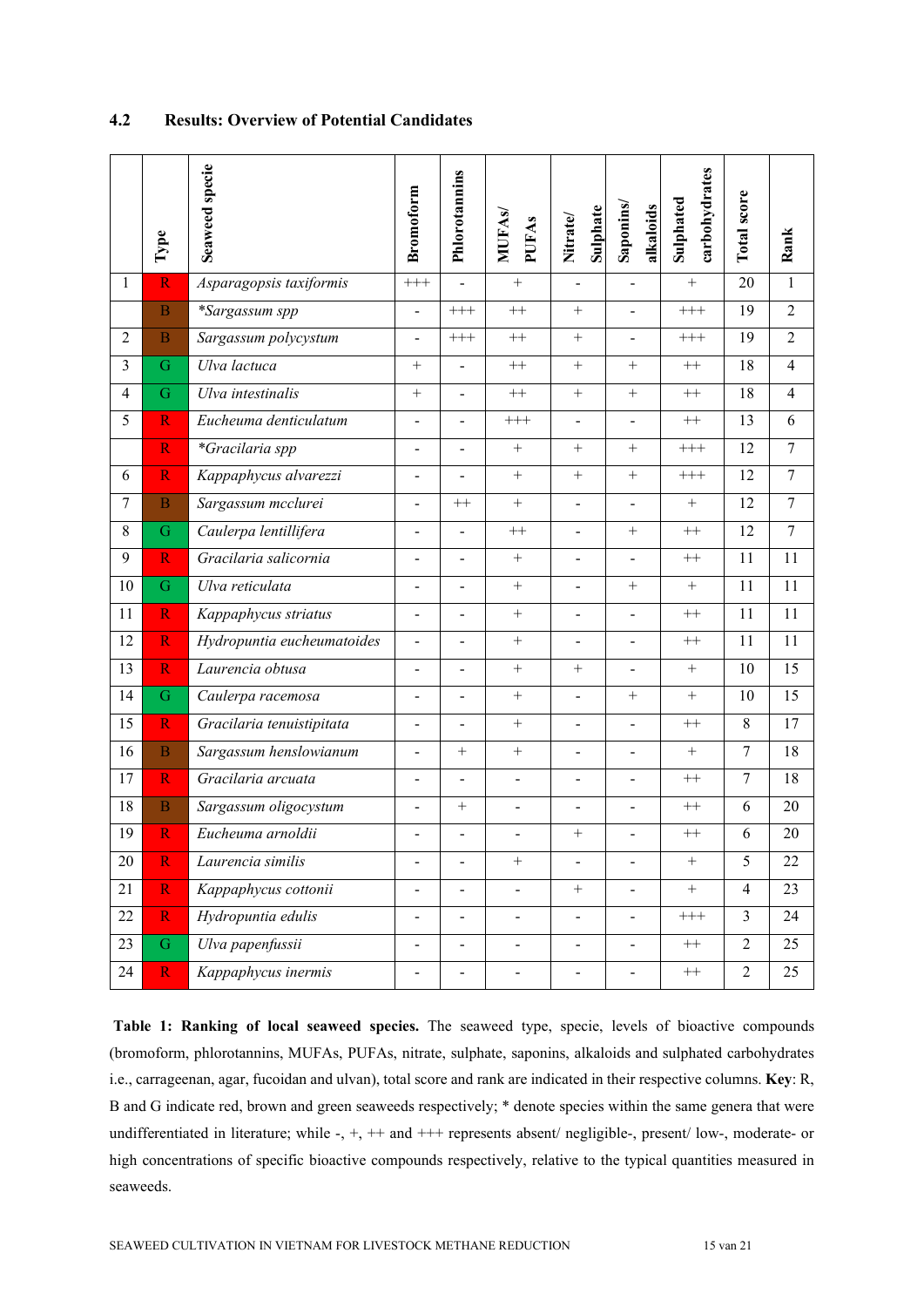|                | Type                    | Seaweed specie             | <b>Bromoform</b>             | Phlorotannins            | <b>MUFAS</b><br><b>PUFAs</b> | Sulphate<br>Nitrate/         | Saponins/<br>alkaloids   | carbohydrates<br>Sulphated | Total score    | Rank           |
|----------------|-------------------------|----------------------------|------------------------------|--------------------------|------------------------------|------------------------------|--------------------------|----------------------------|----------------|----------------|
| 1              | $\overline{\text{R}}$   | Asparagopsis taxiformis    | $^{+++}$                     | $\overline{\phantom{a}}$ | $\boldsymbol{+}$             |                              |                          | $^{+}$                     | 20             | $\mathbf{1}$   |
|                | $\overline{B}$          | *Sargassum spp             | $\blacksquare$               | $+++$                    | $^{++}$                      | $^{+}$                       | $\overline{\phantom{0}}$ | $^{+++}$                   | 19             | $\overline{2}$ |
| $\overline{2}$ | $\overline{B}$          | Sargassum polycystum       | $\blacksquare$               | $^{+++}$                 | $++$                         | $\boldsymbol{+}$             | ÷                        | $^{+++}$                   | 19             | $\overline{2}$ |
| $\overline{3}$ | G                       | Ulva lactuca               | $+$                          | $\overline{a}$           | $^{++}\,$                    | $+$                          | $^{+}$                   | $^{++}\,$                  | 18             | $\overline{4}$ |
| 4              | $\mathbf G$             | Ulva intestinalis          | $+$                          |                          | $^{++}$                      | $\boldsymbol{+}$             | $+$                      | $++$                       | 18             | $\overline{4}$ |
| 5              | $\overline{\mathbf{R}}$ | Eucheuma denticulatum      |                              |                          | $^{+++}$                     |                              |                          | $^{++}\,$                  | 13             | 6              |
|                | $\overline{\mathbf{R}}$ | *Gracilaria spp            |                              |                          | $+$                          | $+$                          | $+$                      | $^{+++}$                   | 12             | $\overline{7}$ |
| 6              | $\overline{\mathbf{R}}$ | Kappaphycus alvarezzi      | $\overline{\phantom{a}}$     |                          | $+$                          | $^{+}$                       | $+$                      | $^{+++}$                   | 12             | $\overline{7}$ |
| $\tau$         | $\overline{B}$          | Sargassum mcclurei         | $\overline{\phantom{a}}$     | $++$                     | $^{+}$                       | $\frac{1}{2}$                | $\overline{a}$           | $+$                        | 12             | $\overline{7}$ |
| 8              | G                       | Caulerpa lentillifera      | $\blacksquare$               | $\overline{a}$           | $^{++}\,$                    | ÷.                           | $^{+}$                   | $^{++}\,$                  | 12             | $\overline{7}$ |
| 9              | R                       | Gracilaria salicornia      | $\blacksquare$               | $\overline{a}$           | $+$                          | $\blacksquare$               | ÷                        | $^{++}\,$                  | 11             | 11             |
| 10             | G                       | Ulva reticulata            | $\blacksquare$               | $\overline{a}$           | $+$                          | $\frac{1}{2}$                | $^{+}$                   | $+$                        | 11             | 11             |
| 11             | $\overline{\mathbf{R}}$ | Kappaphycus striatus       | $\blacksquare$               | $\overline{a}$           | $^{+}$                       | $\overline{a}$               | $\overline{a}$           | $++$                       | 11             | 11             |
| 12             | $\overline{\mathbf{R}}$ | Hydropuntia eucheumatoides | $\blacksquare$               | $\overline{a}$           | $+$                          | $\overline{a}$               | $\overline{a}$           | $++$                       | 11             | 11             |
| 13             | $\overline{\mathbf{R}}$ | Laurencia obtusa           | $\overline{\phantom{a}}$     | $\overline{a}$           | $+$                          | $\boldsymbol{+}$             | $\overline{\phantom{a}}$ | $+$                        | 10             | 15             |
| 14             | G                       | Caulerpa racemosa          | $\blacksquare$               | $\qquad \qquad -$        | $^{+}$                       | $\blacksquare$               | $^{+}$                   | $+$                        | 10             | 15             |
| 15             | $\overline{\mathbf{R}}$ | Gracilaria tenuistipitata  | $\overline{\phantom{a}}$     | $\blacksquare$           | $+$                          | $\blacksquare$               | $\blacksquare$           | $^{++}\,$                  | 8              | 17             |
| 16             | $\overline{B}$          | Sargassum henslowianum     | $\blacksquare$               | $^{+}$                   | $+$                          | $\blacksquare$               | $\frac{1}{2}$            | $+$                        | $\overline{7}$ | 18             |
| 17             | $\overline{\text{R}}$   | Gracilaria arcuata         | $\overline{\phantom{a}}$     | $\overline{a}$           | $\overline{a}$               | $\overline{a}$               | $\overline{a}$           | $++$                       | 7              | 18             |
| 18             | $\overline{B}$          | Sargassum oligocystum      | $\blacksquare$               | $^{+}$                   | $\frac{1}{2}$                | $\frac{1}{2}$                | $\overline{a}$           | $++$                       | 6              | 20             |
| 19             | R                       | Eucheuma arnoldii          | -                            | $\overline{a}$           | $\overline{a}$               | $+$                          | $\overline{a}$           | $++$                       | 6              | 20             |
| 20             | $\overline{\text{R}}$   | Laurencia similis          | $\overline{\phantom{0}}$     | $\frac{1}{2}$            | $\boldsymbol{+}$             | $\overline{\phantom{0}}$     | $\overline{\phantom{0}}$ | $\boldsymbol{+}$           | $\overline{5}$ | 22             |
| 21             | $\overline{\mathbf{R}}$ | Kappaphycus cottonii       | $\qquad \qquad \blacksquare$ | $\overline{\phantom{0}}$ | $\blacksquare$               | $+$                          | $\overline{a}$           | $^{+}$                     | $\overline{4}$ | 23             |
| 22             | $\overline{\mathbf{R}}$ | Hydropuntia edulis         | $\overline{\phantom{0}}$     | $\overline{\phantom{0}}$ | $\blacksquare$               | $\overline{\phantom{0}}$     | $\overline{\phantom{0}}$ | $^{+++}$                   | $\overline{3}$ | 24             |
| 23             | ${\bf G}$               | Ulva papenfussii           | $\blacksquare$               | $\qquad \qquad -$        | $\overline{\phantom{m}}$     | $\overline{\phantom{a}}$     | $\overline{\phantom{0}}$ | $^{++}\,$                  | $\overline{2}$ | 25             |
| 24             | $\mathbf R$             | Kappaphycus inermis        | -                            | $\overline{\phantom{0}}$ | $\overline{\phantom{0}}$     | $\qquad \qquad \blacksquare$ | $\overline{\phantom{0}}$ | $^{++}\,$                  | $\overline{2}$ | 25             |

## <span id="page-14-0"></span>**4.2 Results: Overview of Potential Candidates**

**Table 1: Ranking of local seaweed species.** The seaweed type, specie, levels of bioactive compounds (bromoform, phlorotannins, MUFAs, PUFAs, nitrate, sulphate, saponins, alkaloids and sulphated carbohydrates i.e., carrageenan, agar, fucoidan and ulvan), total score and rank are indicated in their respective columns. **Key**: R, B and G indicate red, brown and green seaweeds respectively; \* denote species within the same genera that were undifferentiated in literature; while -, +, ++ and +++ represents absent/ negligible-, present/ low-, moderate- or high concentrations of specific bioactive compounds respectively, relative to the typical quantities measured in seaweeds.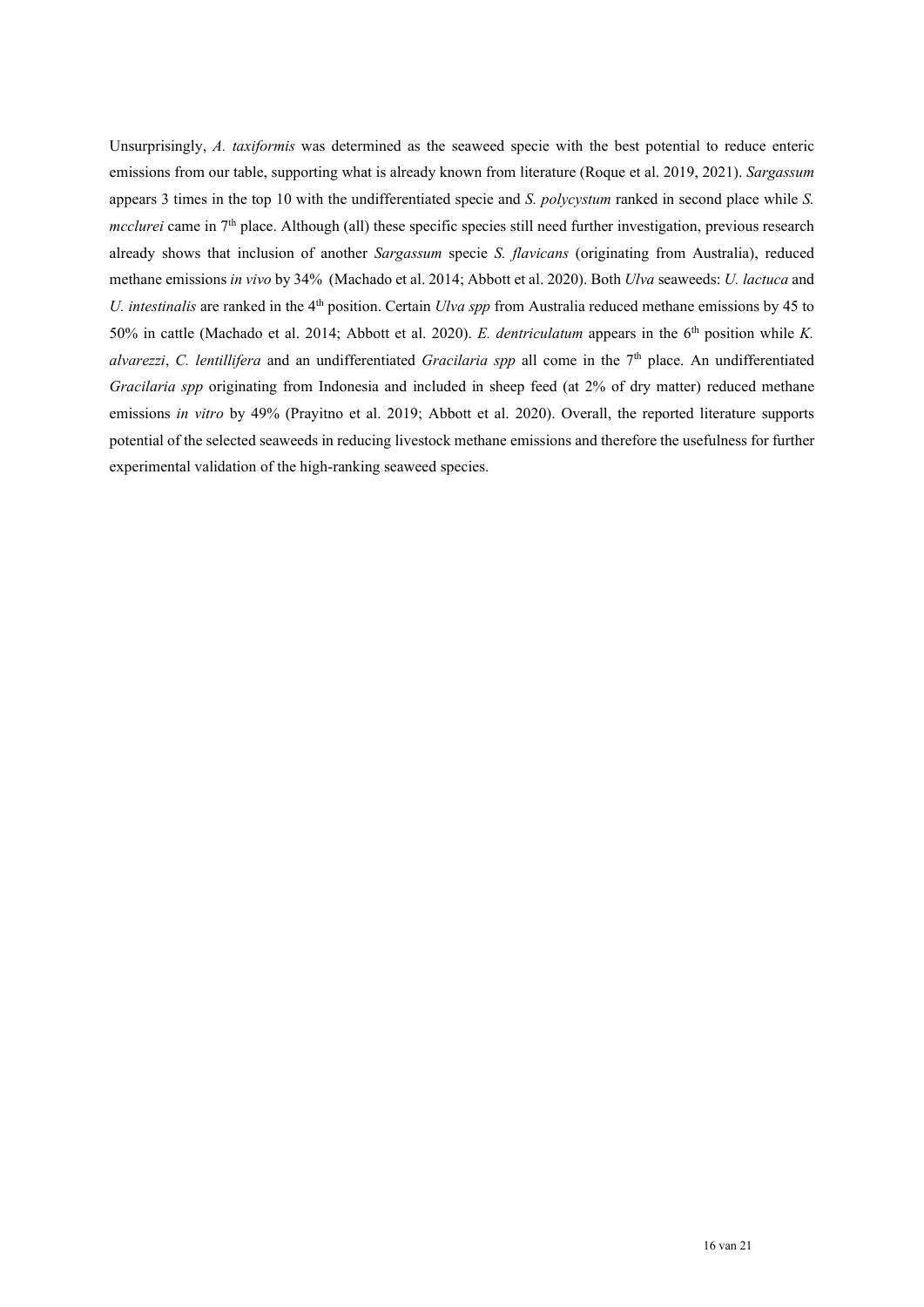Unsurprisingly, *A. taxiformis* was determined as the seaweed specie with the best potential to reduce enteric emissions from our table, supporting what is already known from literature (Roque et al. 2019, 2021). *Sargassum* appears 3 times in the top 10 with the undifferentiated specie and *S. polycystum* ranked in second place while *S. mcclurei* came in 7<sup>th</sup> place. Although (all) these specific species still need further investigation, previous research already shows that inclusion of another *Sargassum* specie *S. flavicans* (originating from Australia), reduced methane emissions *in vivo* by 34% (Machado et al. 2014; Abbott et al. 2020). Both *Ulva* seaweeds: *U. lactuca* and *U. intestinalis* are ranked in the 4<sup>th</sup> position. Certain *Ulva spp* from Australia reduced methane emissions by 45 to 50% in cattle (Machado et al. 2014; Abbott et al. 2020). *E. dentriculatum* appears in the 6<sup>th</sup> position while *K*. *alvarezzi*, *C. lentillifera* and an undifferentiated *Gracilaria spp* all come in the 7th place. An undifferentiated *Gracilaria spp* originating from Indonesia and included in sheep feed (at 2% of dry matter) reduced methane emissions *in vitro* by 49% (Prayitno et al. 2019; Abbott et al. 2020). Overall, the reported literature supports potential of the selected seaweeds in reducing livestock methane emissions and therefore the usefulness for further experimental validation of the high-ranking seaweed species.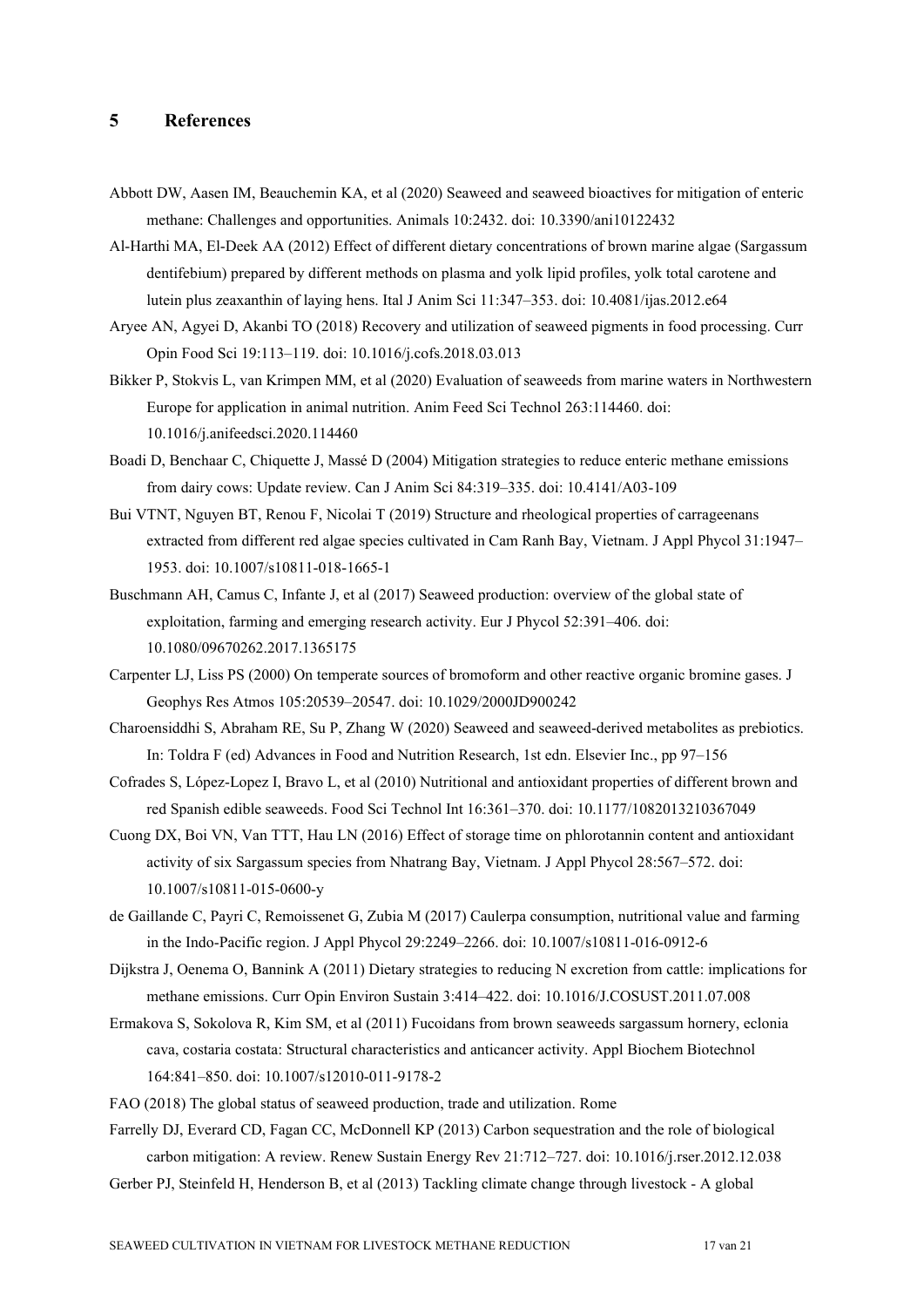## <span id="page-16-0"></span>**5 References**

- Abbott DW, Aasen IM, Beauchemin KA, et al (2020) Seaweed and seaweed bioactives for mitigation of enteric methane: Challenges and opportunities. Animals 10:2432. doi: 10.3390/ani10122432
- Al-Harthi MA, El-Deek AA (2012) Effect of different dietary concentrations of brown marine algae (Sargassum dentifebium) prepared by different methods on plasma and yolk lipid profiles, yolk total carotene and lutein plus zeaxanthin of laying hens. Ital J Anim Sci 11:347–353. doi: 10.4081/ijas.2012.e64
- Aryee AN, Agyei D, Akanbi TO (2018) Recovery and utilization of seaweed pigments in food processing. Curr Opin Food Sci 19:113–119. doi: 10.1016/j.cofs.2018.03.013
- Bikker P, Stokvis L, van Krimpen MM, et al (2020) Evaluation of seaweeds from marine waters in Northwestern Europe for application in animal nutrition. Anim Feed Sci Technol 263:114460. doi: 10.1016/j.anifeedsci.2020.114460
- Boadi D, Benchaar C, Chiquette J, Massé D (2004) Mitigation strategies to reduce enteric methane emissions from dairy cows: Update review. Can J Anim Sci 84:319–335. doi: 10.4141/A03-109
- Bui VTNT, Nguyen BT, Renou F, Nicolai T (2019) Structure and rheological properties of carrageenans extracted from different red algae species cultivated in Cam Ranh Bay, Vietnam. J Appl Phycol 31:1947– 1953. doi: 10.1007/s10811-018-1665-1
- Buschmann AH, Camus C, Infante J, et al (2017) Seaweed production: overview of the global state of exploitation, farming and emerging research activity. Eur J Phycol 52:391–406. doi: 10.1080/09670262.2017.1365175
- Carpenter LJ, Liss PS (2000) On temperate sources of bromoform and other reactive organic bromine gases. J Geophys Res Atmos 105:20539–20547. doi: 10.1029/2000JD900242
- Charoensiddhi S, Abraham RE, Su P, Zhang W (2020) Seaweed and seaweed-derived metabolites as prebiotics. In: Toldra F (ed) Advances in Food and Nutrition Research, 1st edn. Elsevier Inc., pp 97–156
- Cofrades S, López-Lopez I, Bravo L, et al (2010) Nutritional and antioxidant properties of different brown and red Spanish edible seaweeds. Food Sci Technol Int 16:361–370. doi: 10.1177/1082013210367049
- Cuong DX, Boi VN, Van TTT, Hau LN (2016) Effect of storage time on phlorotannin content and antioxidant activity of six Sargassum species from Nhatrang Bay, Vietnam. J Appl Phycol 28:567–572. doi: 10.1007/s10811-015-0600-y
- de Gaillande C, Payri C, Remoissenet G, Zubia M (2017) Caulerpa consumption, nutritional value and farming in the Indo-Pacific region. J Appl Phycol 29:2249–2266. doi: 10.1007/s10811-016-0912-6
- Dijkstra J, Oenema O, Bannink A (2011) Dietary strategies to reducing N excretion from cattle: implications for methane emissions. Curr Opin Environ Sustain 3:414–422. doi: 10.1016/J.COSUST.2011.07.008
- Ermakova S, Sokolova R, Kim SM, et al (2011) Fucoidans from brown seaweeds sargassum hornery, eclonia cava, costaria costata: Structural characteristics and anticancer activity. Appl Biochem Biotechnol 164:841–850. doi: 10.1007/s12010-011-9178-2
- FAO (2018) The global status of seaweed production, trade and utilization. Rome

Farrelly DJ, Everard CD, Fagan CC, McDonnell KP (2013) Carbon sequestration and the role of biological carbon mitigation: A review. Renew Sustain Energy Rev 21:712–727. doi: 10.1016/j.rser.2012.12.038

Gerber PJ, Steinfeld H, Henderson B, et al (2013) Tackling climate change through livestock - A global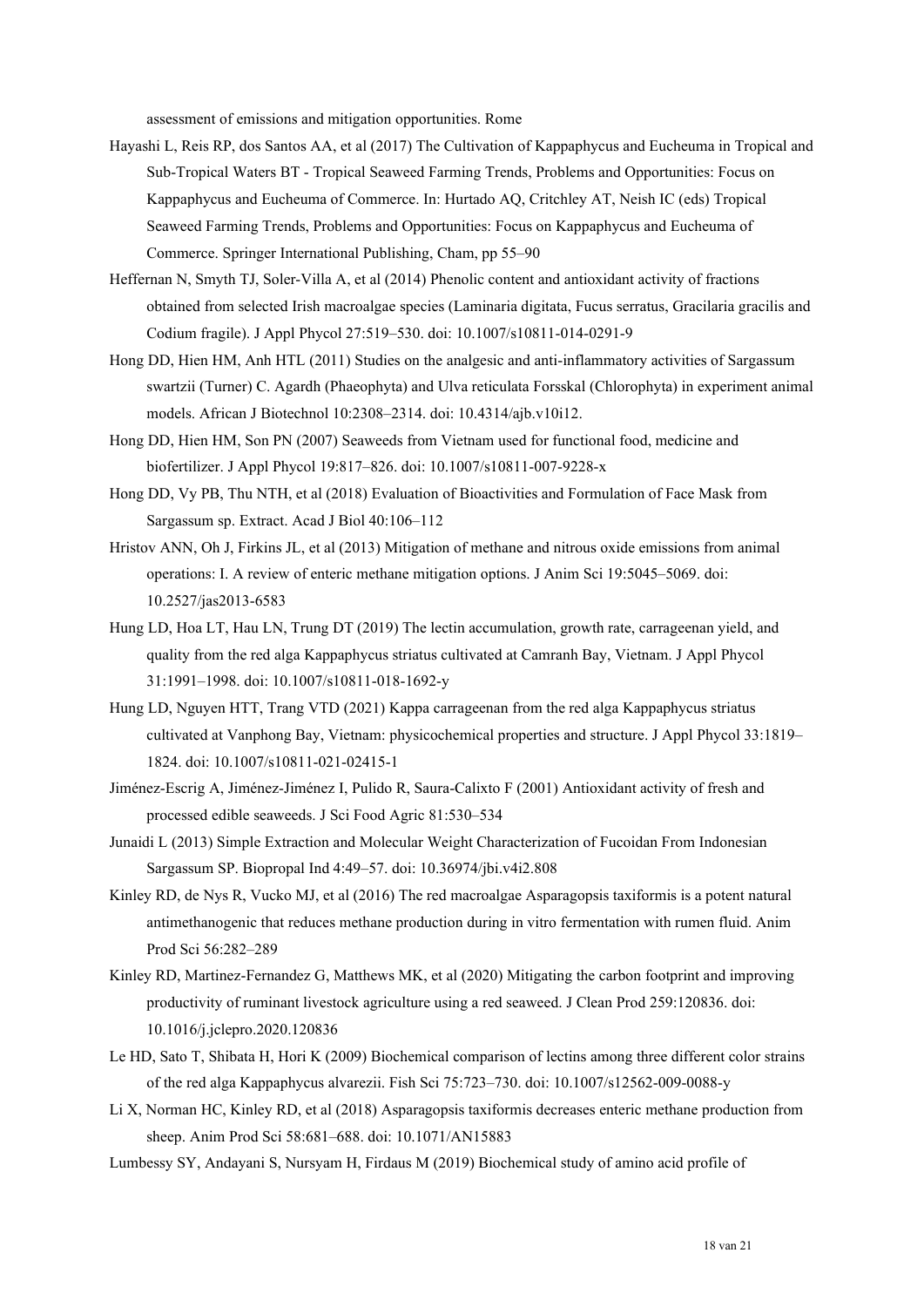assessment of emissions and mitigation opportunities. Rome

- Hayashi L, Reis RP, dos Santos AA, et al (2017) The Cultivation of Kappaphycus and Eucheuma in Tropical and Sub-Tropical Waters BT - Tropical Seaweed Farming Trends, Problems and Opportunities: Focus on Kappaphycus and Eucheuma of Commerce. In: Hurtado AQ, Critchley AT, Neish IC (eds) Tropical Seaweed Farming Trends, Problems and Opportunities: Focus on Kappaphycus and Eucheuma of Commerce. Springer International Publishing, Cham, pp 55–90
- Heffernan N, Smyth TJ, Soler-Villa A, et al (2014) Phenolic content and antioxidant activity of fractions obtained from selected Irish macroalgae species (Laminaria digitata, Fucus serratus, Gracilaria gracilis and Codium fragile). J Appl Phycol 27:519–530. doi: 10.1007/s10811-014-0291-9
- Hong DD, Hien HM, Anh HTL (2011) Studies on the analgesic and anti-inflammatory activities of Sargassum swartzii (Turner) C. Agardh (Phaeophyta) and Ulva reticulata Forsskal (Chlorophyta) in experiment animal models. African J Biotechnol 10:2308–2314. doi: 10.4314/ajb.v10i12.
- Hong DD, Hien HM, Son PN (2007) Seaweeds from Vietnam used for functional food, medicine and biofertilizer. J Appl Phycol 19:817–826. doi: 10.1007/s10811-007-9228-x
- Hong DD, Vy PB, Thu NTH, et al (2018) Evaluation of Bioactivities and Formulation of Face Mask from Sargassum sp. Extract. Acad J Biol 40:106–112
- Hristov ANN, Oh J, Firkins JL, et al (2013) Mitigation of methane and nitrous oxide emissions from animal operations: I. A review of enteric methane mitigation options. J Anim Sci 19:5045–5069. doi: 10.2527/jas2013-6583
- Hung LD, Hoa LT, Hau LN, Trung DT (2019) The lectin accumulation, growth rate, carrageenan yield, and quality from the red alga Kappaphycus striatus cultivated at Camranh Bay, Vietnam. J Appl Phycol 31:1991–1998. doi: 10.1007/s10811-018-1692-y
- Hung LD, Nguyen HTT, Trang VTD (2021) Kappa carrageenan from the red alga Kappaphycus striatus cultivated at Vanphong Bay, Vietnam: physicochemical properties and structure. J Appl Phycol 33:1819– 1824. doi: 10.1007/s10811-021-02415-1
- Jiménez-Escrig A, Jiménez-Jiménez I, Pulido R, Saura-Calixto F (2001) Antioxidant activity of fresh and processed edible seaweeds. J Sci Food Agric 81:530–534
- Junaidi L (2013) Simple Extraction and Molecular Weight Characterization of Fucoidan From Indonesian Sargassum SP. Biopropal Ind 4:49–57. doi: 10.36974/jbi.v4i2.808
- Kinley RD, de Nys R, Vucko MJ, et al (2016) The red macroalgae Asparagopsis taxiformis is a potent natural antimethanogenic that reduces methane production during in vitro fermentation with rumen fluid. Anim Prod Sci 56:282–289
- Kinley RD, Martinez-Fernandez G, Matthews MK, et al (2020) Mitigating the carbon footprint and improving productivity of ruminant livestock agriculture using a red seaweed. J Clean Prod 259:120836. doi: 10.1016/j.jclepro.2020.120836
- Le HD, Sato T, Shibata H, Hori K (2009) Biochemical comparison of lectins among three different color strains of the red alga Kappaphycus alvarezii. Fish Sci 75:723–730. doi: 10.1007/s12562-009-0088-y
- Li X, Norman HC, Kinley RD, et al (2018) Asparagopsis taxiformis decreases enteric methane production from sheep. Anim Prod Sci 58:681–688. doi: 10.1071/AN15883
- Lumbessy SY, Andayani S, Nursyam H, Firdaus M (2019) Biochemical study of amino acid profile of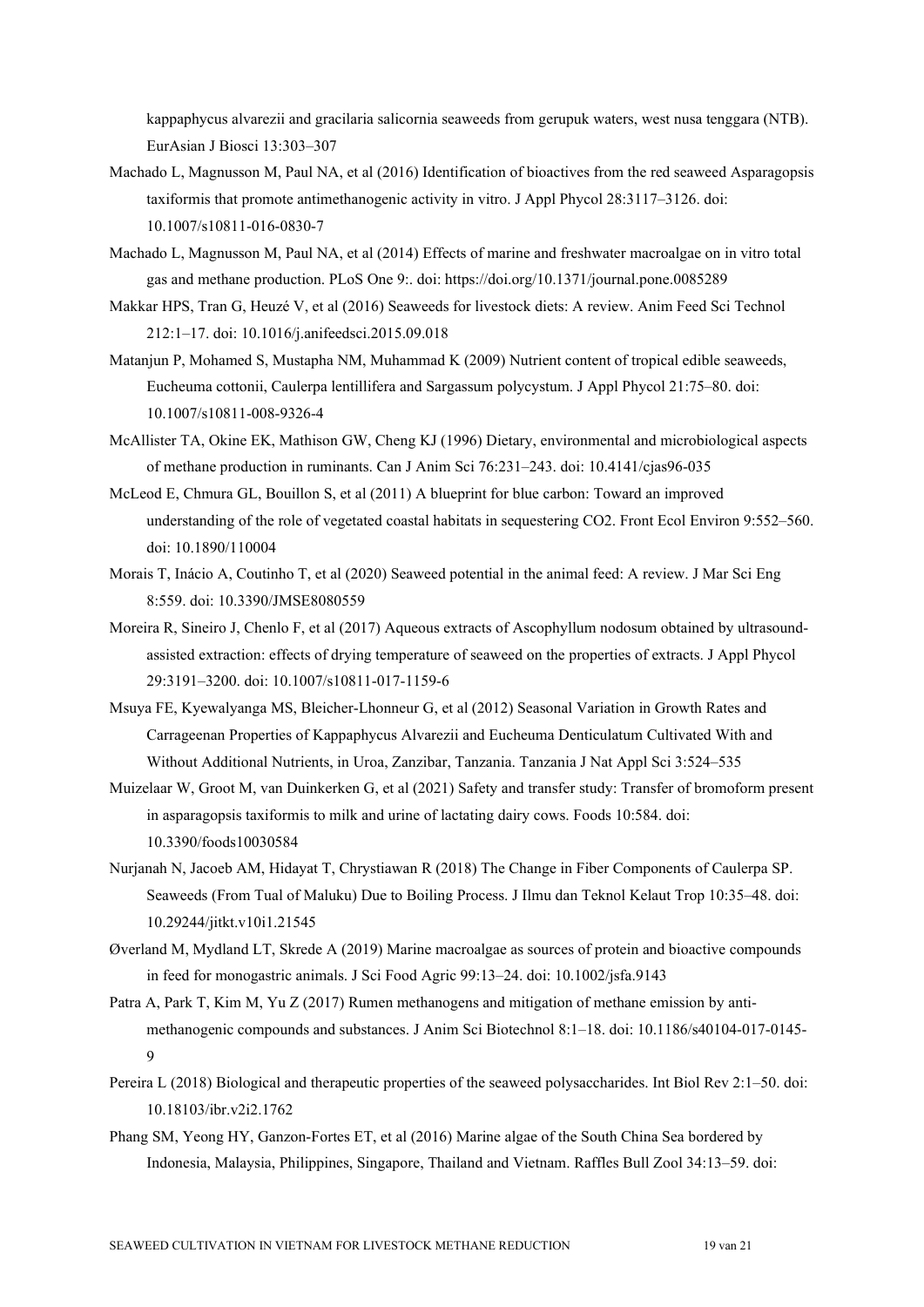kappaphycus alvarezii and gracilaria salicornia seaweeds from gerupuk waters, west nusa tenggara (NTB). EurAsian J Biosci 13:303–307

- Machado L, Magnusson M, Paul NA, et al (2016) Identification of bioactives from the red seaweed Asparagopsis taxiformis that promote antimethanogenic activity in vitro. J Appl Phycol 28:3117–3126. doi: 10.1007/s10811-016-0830-7
- Machado L, Magnusson M, Paul NA, et al (2014) Effects of marine and freshwater macroalgae on in vitro total gas and methane production. PLoS One 9:. doi: https://doi.org/10.1371/journal.pone.0085289
- Makkar HPS, Tran G, Heuzé V, et al (2016) Seaweeds for livestock diets: A review. Anim Feed Sci Technol 212:1–17. doi: 10.1016/j.anifeedsci.2015.09.018
- Matanjun P, Mohamed S, Mustapha NM, Muhammad K (2009) Nutrient content of tropical edible seaweeds, Eucheuma cottonii, Caulerpa lentillifera and Sargassum polycystum. J Appl Phycol 21:75–80. doi: 10.1007/s10811-008-9326-4
- McAllister TA, Okine EK, Mathison GW, Cheng KJ (1996) Dietary, environmental and microbiological aspects of methane production in ruminants. Can J Anim Sci 76:231–243. doi: 10.4141/cjas96-035
- McLeod E, Chmura GL, Bouillon S, et al (2011) A blueprint for blue carbon: Toward an improved understanding of the role of vegetated coastal habitats in sequestering CO2. Front Ecol Environ 9:552–560. doi: 10.1890/110004
- Morais T, Inácio A, Coutinho T, et al (2020) Seaweed potential in the animal feed: A review. J Mar Sci Eng 8:559. doi: 10.3390/JMSE8080559
- Moreira R, Sineiro J, Chenlo F, et al (2017) Aqueous extracts of Ascophyllum nodosum obtained by ultrasoundassisted extraction: effects of drying temperature of seaweed on the properties of extracts. J Appl Phycol 29:3191–3200. doi: 10.1007/s10811-017-1159-6
- Msuya FE, Kyewalyanga MS, Bleicher-Lhonneur G, et al (2012) Seasonal Variation in Growth Rates and Carrageenan Properties of Kappaphycus Alvarezii and Eucheuma Denticulatum Cultivated With and Without Additional Nutrients, in Uroa, Zanzibar, Tanzania. Tanzania J Nat Appl Sci 3:524–535
- Muizelaar W, Groot M, van Duinkerken G, et al (2021) Safety and transfer study: Transfer of bromoform present in asparagopsis taxiformis to milk and urine of lactating dairy cows. Foods 10:584. doi: 10.3390/foods10030584
- Nurjanah N, Jacoeb AM, Hidayat T, Chrystiawan R (2018) The Change in Fiber Components of Caulerpa SP. Seaweeds (From Tual of Maluku) Due to Boiling Process. J Ilmu dan Teknol Kelaut Trop 10:35–48. doi: 10.29244/jitkt.v10i1.21545
- Øverland M, Mydland LT, Skrede A (2019) Marine macroalgae as sources of protein and bioactive compounds in feed for monogastric animals. J Sci Food Agric 99:13–24. doi: 10.1002/jsfa.9143
- Patra A, Park T, Kim M, Yu Z (2017) Rumen methanogens and mitigation of methane emission by antimethanogenic compounds and substances. J Anim Sci Biotechnol 8:1–18. doi: 10.1186/s40104-017-0145- 9
- Pereira L (2018) Biological and therapeutic properties of the seaweed polysaccharides. Int Biol Rev 2:1–50. doi: 10.18103/ibr.v2i2.1762
- Phang SM, Yeong HY, Ganzon-Fortes ET, et al (2016) Marine algae of the South China Sea bordered by Indonesia, Malaysia, Philippines, Singapore, Thailand and Vietnam. Raffles Bull Zool 34:13–59. doi: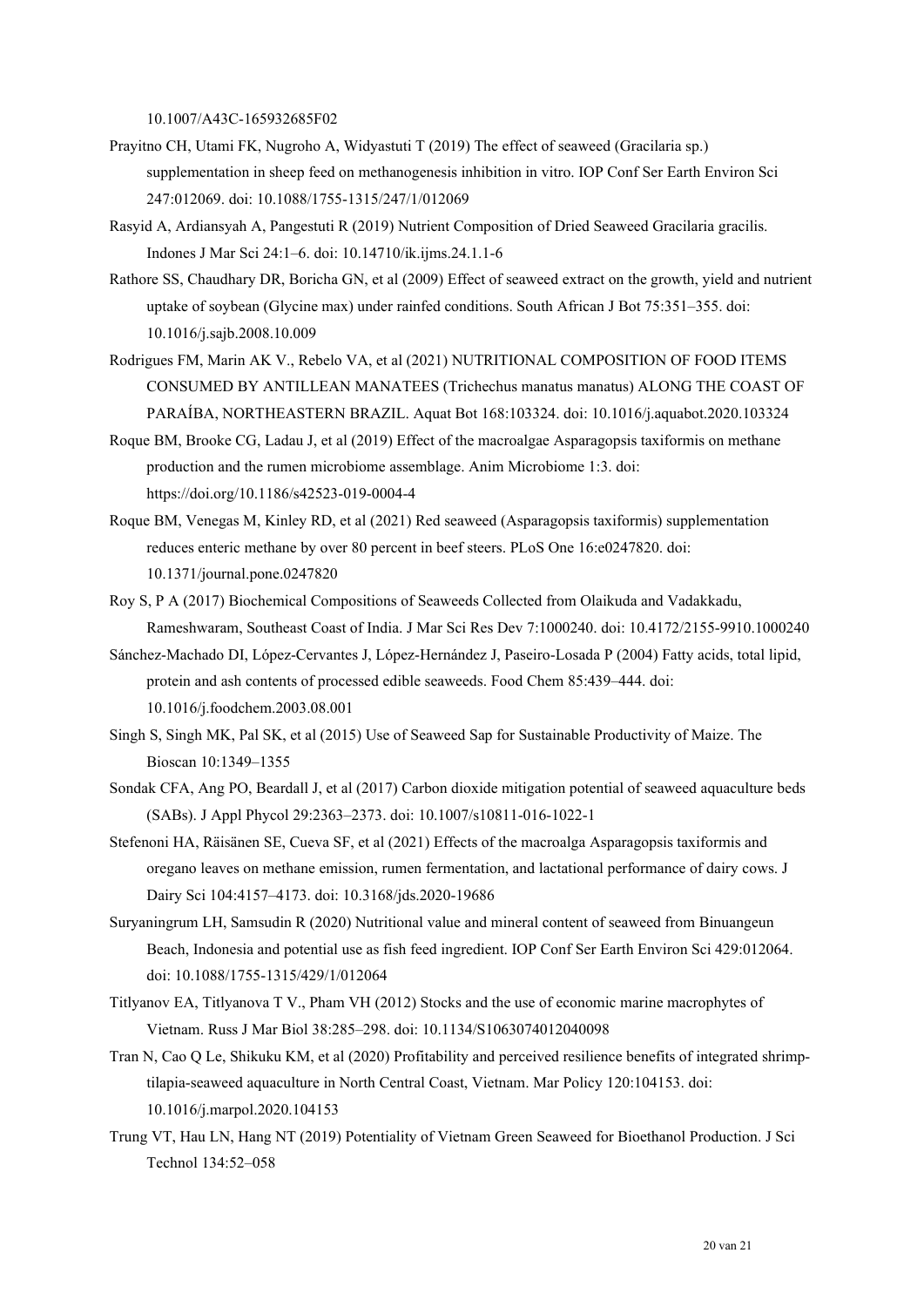10.1007/A43C-165932685F02

- Prayitno CH, Utami FK, Nugroho A, Widyastuti T (2019) The effect of seaweed (Gracilaria sp.) supplementation in sheep feed on methanogenesis inhibition in vitro. IOP Conf Ser Earth Environ Sci 247:012069. doi: 10.1088/1755-1315/247/1/012069
- Rasyid A, Ardiansyah A, Pangestuti R (2019) Nutrient Composition of Dried Seaweed Gracilaria gracilis. Indones J Mar Sci 24:1–6. doi: 10.14710/ik.ijms.24.1.1-6
- Rathore SS, Chaudhary DR, Boricha GN, et al (2009) Effect of seaweed extract on the growth, yield and nutrient uptake of soybean (Glycine max) under rainfed conditions. South African J Bot 75:351–355. doi: 10.1016/j.sajb.2008.10.009
- Rodrigues FM, Marin AK V., Rebelo VA, et al (2021) NUTRITIONAL COMPOSITION OF FOOD ITEMS CONSUMED BY ANTILLEAN MANATEES (Trichechus manatus manatus) ALONG THE COAST OF PARAÍBA, NORTHEASTERN BRAZIL. Aquat Bot 168:103324. doi: 10.1016/j.aquabot.2020.103324
- Roque BM, Brooke CG, Ladau J, et al (2019) Effect of the macroalgae Asparagopsis taxiformis on methane production and the rumen microbiome assemblage. Anim Microbiome 1:3. doi: https://doi.org/10.1186/s42523-019-0004-4
- Roque BM, Venegas M, Kinley RD, et al (2021) Red seaweed (Asparagopsis taxiformis) supplementation reduces enteric methane by over 80 percent in beef steers. PLoS One 16:e0247820. doi: 10.1371/journal.pone.0247820
- Roy S, P A (2017) Biochemical Compositions of Seaweeds Collected from Olaikuda and Vadakkadu, Rameshwaram, Southeast Coast of India. J Mar Sci Res Dev 7:1000240. doi: 10.4172/2155-9910.1000240
- Sánchez-Machado DI, López-Cervantes J, López-Hernández J, Paseiro-Losada P (2004) Fatty acids, total lipid, protein and ash contents of processed edible seaweeds. Food Chem 85:439–444. doi: 10.1016/j.foodchem.2003.08.001
- Singh S, Singh MK, Pal SK, et al (2015) Use of Seaweed Sap for Sustainable Productivity of Maize. The Bioscan 10:1349–1355
- Sondak CFA, Ang PO, Beardall J, et al (2017) Carbon dioxide mitigation potential of seaweed aquaculture beds (SABs). J Appl Phycol 29:2363–2373. doi: 10.1007/s10811-016-1022-1
- Stefenoni HA, Räisänen SE, Cueva SF, et al (2021) Effects of the macroalga Asparagopsis taxiformis and oregano leaves on methane emission, rumen fermentation, and lactational performance of dairy cows. J Dairy Sci 104:4157–4173. doi: 10.3168/jds.2020-19686
- Suryaningrum LH, Samsudin R (2020) Nutritional value and mineral content of seaweed from Binuangeun Beach, Indonesia and potential use as fish feed ingredient. IOP Conf Ser Earth Environ Sci 429:012064. doi: 10.1088/1755-1315/429/1/012064
- Titlyanov EA, Titlyanova T V., Pham VH (2012) Stocks and the use of economic marine macrophytes of Vietnam. Russ J Mar Biol 38:285–298. doi: 10.1134/S1063074012040098
- Tran N, Cao Q Le, Shikuku KM, et al (2020) Profitability and perceived resilience benefits of integrated shrimptilapia-seaweed aquaculture in North Central Coast, Vietnam. Mar Policy 120:104153. doi: 10.1016/j.marpol.2020.104153
- Trung VT, Hau LN, Hang NT (2019) Potentiality of Vietnam Green Seaweed for Bioethanol Production. J Sci Technol 134:52–058